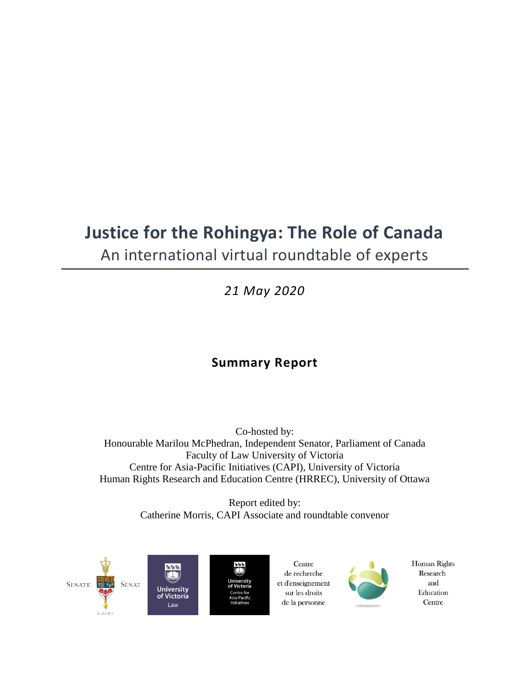# **Justice for the Rohingya: The Role of Canada** An international virtual roundtable of experts

*21 May 2020*

# **Summary Report**

Co-hosted by: Honourable Marilou McPhedran, Independent Senator, Parliament of Canada Faculty of Law University of Victoria Centre for Asia-Pacific Initiatives (CAPI), University of Victoria Human Rights Research and Education Centre (HRREC), University of Ottawa

> Report edited by: Catherine Morris, CAPI Associate and roundtable convenor



Centre de recherche et d'enseignement sur les droits de la personne



**Human Rights** Research and Education Centre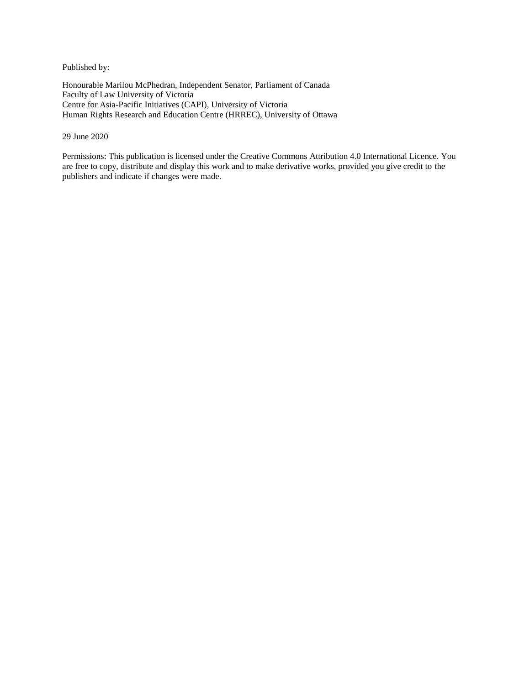Published by:

Honourable Marilou McPhedran, Independent Senator, Parliament of Canada Faculty of Law University of Victoria Centre for Asia-Pacific Initiatives (CAPI), University of Victoria Human Rights Research and Education Centre (HRREC), University of Ottawa

#### 29 June 2020

Permissions: This publication is licensed under the Creative Commons Attribution 4.0 International Licence. You are free to copy, distribute and display this work and to make derivative works, provided you give credit to the publishers and indicate if changes were made.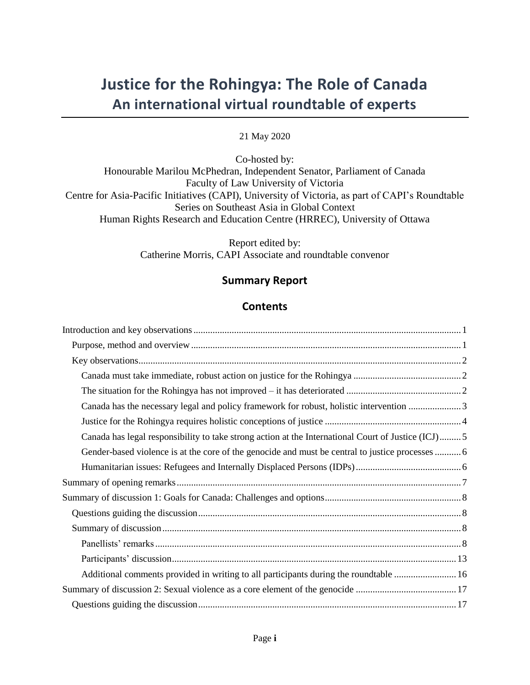# **Justice for the Rohingya: The Role of Canada An international virtual roundtable of experts**

#### 21 May 2020

Co-hosted by: Honourable Marilou McPhedran, Independent Senator, Parliament of Canada Faculty of Law University of Victoria Centre for Asia-Pacific Initiatives (CAPI), University of Victoria, as part of CAPI's Roundtable Series on Southeast Asia in Global Context Human Rights Research and Education Centre (HRREC), University of Ottawa

> Report edited by: Catherine Morris, CAPI Associate and roundtable convenor

## **Summary Report**

## **Contents**

| Canada has the necessary legal and policy framework for robust, holistic intervention 3            |
|----------------------------------------------------------------------------------------------------|
|                                                                                                    |
| Canada has legal responsibility to take strong action at the International Court of Justice (ICJ)5 |
| Gender-based violence is at the core of the genocide and must be central to justice processes      |
|                                                                                                    |
|                                                                                                    |
|                                                                                                    |
|                                                                                                    |
|                                                                                                    |
|                                                                                                    |
|                                                                                                    |
| Additional comments provided in writing to all participants during the roundtable  16              |
|                                                                                                    |
|                                                                                                    |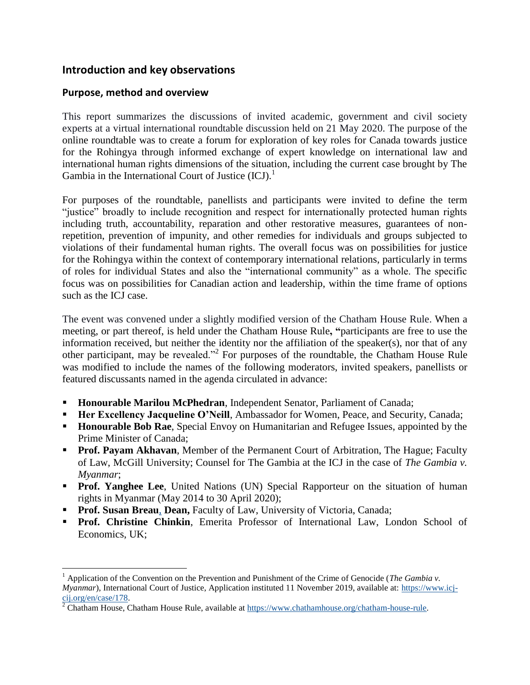# <span id="page-4-0"></span>**Introduction and key observations**

## <span id="page-4-1"></span>**Purpose, method and overview**

 $\overline{a}$ 

This report summarizes the discussions of invited academic, government and civil society experts at a virtual international roundtable discussion held on 21 May 2020. The purpose of the online roundtable was to create a forum for exploration of key roles for Canada towards justice for the Rohingya through informed exchange of expert knowledge on international law and international human rights dimensions of the situation, including the current case brought by The Gambia in the International Court of Justice  $(ICJ)^1$ .

For purposes of the roundtable, panellists and participants were invited to define the term "justice" broadly to include recognition and respect for internationally protected human rights including truth, accountability, reparation and other restorative measures, guarantees of nonrepetition, prevention of impunity, and other remedies for individuals and groups subjected to violations of their fundamental human rights. The overall focus was on possibilities for justice for the Rohingya within the context of contemporary international relations, particularly in terms of roles for individual States and also the "international community" as a whole. The specific focus was on possibilities for Canadian action and leadership, within the time frame of options such as the ICJ case.

The event was convened under a slightly modified version of the Chatham House Rule. When a meeting, or part thereof, is held under the Chatham House Rule**, "**participants are free to use the information received, but neither the identity nor the affiliation of the speaker(s), nor that of any other participant, may be revealed."<sup>2</sup> For purposes of the roundtable, the Chatham House Rule was modified to include the names of the following moderators, invited speakers, panellists or featured discussants named in the agenda circulated in advance:

- **Honourable Marilou McPhedran**, Independent Senator, Parliament of Canada;
- **Her Excellency Jacqueline O'Neill**, Ambassador for Women, Peace, and Security, Canada;
- **Honourable Bob Rae**, Special Envoy on Humanitarian and Refugee Issues, appointed by the Prime Minister of Canada;
- **Prof. Payam Akhavan**, Member of the Permanent Court of Arbitration, The Hague; Faculty of Law, McGill University; Counsel for The Gambia at the ICJ in the case of *The Gambia v. Myanmar*;
- **Prof. Yanghee Lee**, United Nations (UN) Special Rapporteur on the situation of human rights in Myanmar (May 2014 to 30 April 2020);
- **Prof. Susan Breau**, **Dean,** Faculty of Law, University of Victoria, Canada;
- **Prof. Christine Chinkin**, Emerita Professor of International Law, London School of Economics, UK;

<sup>&</sup>lt;sup>1</sup> Application of the Convention on the Prevention and Punishment of the Crime of Genocide (*The Gambia v. Myanmar*), International Court of Justice, Application instituted 11 November 2019, available at: [https://www.icj](https://www.icj-cij.org/en/case/178)[cij.org/en/case/178.](https://www.icj-cij.org/en/case/178)

 $2^2$  Chatham House, Chatham House Rule, available at [https://www.chathamhouse.org/chatham-house-rule.](https://www.chathamhouse.org/chatham-house-rule)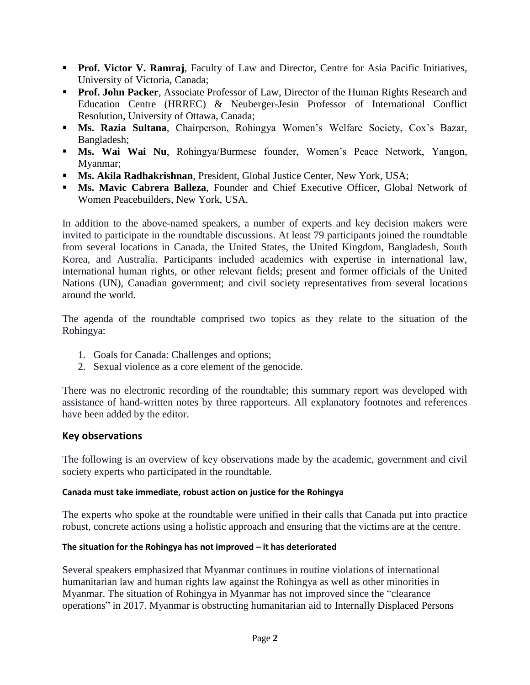- **Prof. Victor V. Ramraj**, Faculty of Law and Director, Centre for Asia Pacific Initiatives, University of Victoria, Canada;
- **Prof. John Packer**, Associate Professor of Law, Director of the Human Rights Research and Education Centre (HRREC) & Neuberger-Jesin Professor of International Conflict Resolution, University of Ottawa, Canada;
- **Ms. Razia Sultana**, Chairperson, Rohingya Women's Welfare Society, Cox's Bazar, Bangladesh;
- **Ms. Wai Wai Nu**, Rohingya/Burmese founder, Women's Peace Network, Yangon, Myanmar;
- **Ms. Akila Radhakrishnan**, President, Global Justice Center, New York, USA;
- **Ms. Mavic Cabrera Balleza**, Founder and Chief Executive Officer, Global Network of Women Peacebuilders, New York, USA.

In addition to the above-named speakers, a number of experts and key decision makers were invited to participate in the roundtable discussions. At least 79 participants joined the roundtable from several locations in Canada, the United States, the United Kingdom, Bangladesh, South Korea, and Australia. Participants included academics with expertise in international law, international human rights, or other relevant fields; present and former officials of the United Nations (UN), Canadian government; and civil society representatives from several locations around the world.

The agenda of the roundtable comprised two topics as they relate to the situation of the Rohingya:

- 1. Goals for Canada: Challenges and options;
- 2. Sexual violence as a core element of the genocide.

There was no electronic recording of the roundtable; this summary report was developed with assistance of hand-written notes by three rapporteurs. All explanatory footnotes and references have been added by the editor.

## <span id="page-5-0"></span>**Key observations**

The following is an overview of key observations made by the academic, government and civil society experts who participated in the roundtable.

## <span id="page-5-1"></span>**Canada must take immediate, robust action on justice for the Rohingya**

The experts who spoke at the roundtable were unified in their calls that Canada put into practice robust, concrete actions using a holistic approach and ensuring that the victims are at the centre.

## <span id="page-5-2"></span>**The situation for the Rohingya has not improved – it has deteriorated**

Several speakers emphasized that Myanmar continues in routine violations of international humanitarian law and human rights law against the Rohingya as well as other minorities in Myanmar. The situation of Rohingya in Myanmar has not improved since the "clearance operations" in 2017. Myanmar is obstructing humanitarian aid to Internally Displaced Persons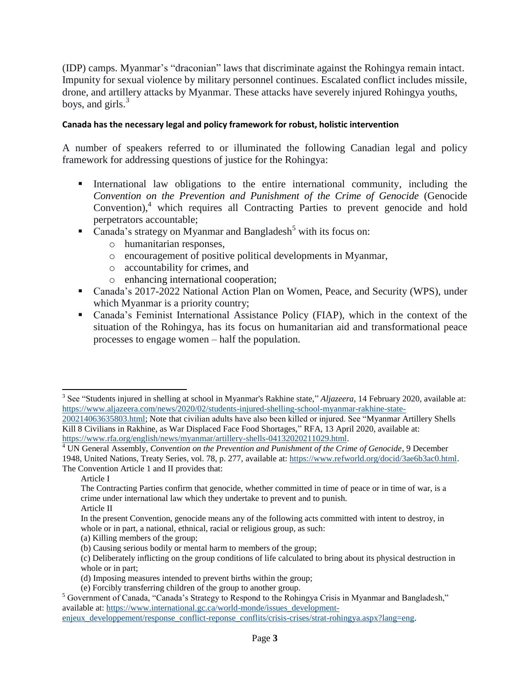(IDP) camps. Myanmar's "draconian" laws that discriminate against the Rohingya remain intact. Impunity for sexual violence by military personnel continues. Escalated conflict includes missile, drone, and artillery attacks by Myanmar. These attacks have severely injured Rohingya youths, boys, and girls.<sup>3</sup>

#### <span id="page-6-0"></span>**Canada has the necessary legal and policy framework for robust, holistic intervention**

A number of speakers referred to or illuminated the following Canadian legal and policy framework for addressing questions of justice for the Rohingya:

- International law obligations to the entire international community, including the *Convention on the Prevention and Punishment of the Crime of Genocide* (Genocide Convention), <sup>4</sup> which requires all Contracting Parties to prevent genocide and hold perpetrators accountable;
- Canada's strategy on Myanmar and Bangladesh<sup>5</sup> with its focus on:
	- o humanitarian responses,
	- o encouragement of positive political developments in Myanmar,
	- o accountability for crimes, and
	- o enhancing international cooperation;
- Canada's 2017-2022 National Action Plan on Women, Peace, and Security (WPS), under which Myanmar is a priority country;
- Canada's Feminist International Assistance Policy (FIAP), which in the context of the situation of the Rohingya, has its focus on humanitarian aid and transformational peace processes to engage women – half the population.

Article I

l

<sup>&</sup>lt;sup>3</sup> See "Students injured in shelling at school in Myanmar's Rakhine state," *Aljazeera*, 14 February 2020, available at: [https://www.aljazeera.com/news/2020/02/students-injured-shelling-school-myanmar-rakhine-state-](https://www.aljazeera.com/news/2020/02/students-injured-shelling-school-myanmar-rakhine-state-200214063635803.html)

[<sup>200214063635803.</sup>html;](https://www.aljazeera.com/news/2020/02/students-injured-shelling-school-myanmar-rakhine-state-200214063635803.html) Note that civilian adults have also been killed or injured. See "Myanmar Artillery Shells Kill 8 Civilians in Rakhine, as War Displaced Face Food Shortages," RFA, 13 April 2020, available at: [https://www.rfa.org/english/news/myanmar/artillery-shells-04132020211029.html.](https://www.rfa.org/english/news/myanmar/artillery-shells-04132020211029.html)

<sup>4</sup> UN General Assembly, *Convention on the Prevention and Punishment of the Crime of Genocide*, 9 December

<sup>1948,</sup> United Nations, Treaty Series, vol. 78, p. 277, available at[: https://www.refworld.org/docid/3ae6b3ac0.html.](https://www.refworld.org/docid/3ae6b3ac0.html)  The Convention Article 1 and II provides that:

The Contracting Parties confirm that genocide, whether committed in time of peace or in time of war, is a crime under international law which they undertake to prevent and to punish.

Article II

In the present Convention, genocide means any of the following acts committed with intent to destroy, in whole or in part, a national, ethnical, racial or religious group, as such:

<sup>(</sup>a) Killing members of the group;

<sup>(</sup>b) Causing serious bodily or mental harm to members of the group;

<sup>(</sup>c) Deliberately inflicting on the group conditions of life calculated to bring about its physical destruction in whole or in part;

<sup>(</sup>d) Imposing measures intended to prevent births within the group;

<sup>(</sup>e) Forcibly transferring children of the group to another group.

<sup>&</sup>lt;sup>5</sup> Government of Canada, "Canada's Strategy to Respond to the Rohingya Crisis in Myanmar and Bangladesh," available at: [https://www.international.gc.ca/world-monde/issues\\_development](https://www.international.gc.ca/world-monde/issues_development-enjeux_developpement/response_conflict-reponse_conflits/crisis-crises/strat-rohingya.aspx?lang=eng)[enjeux\\_developpement/response\\_conflict-reponse\\_conflits/crisis-crises/strat-rohingya.aspx?lang=eng.](https://www.international.gc.ca/world-monde/issues_development-enjeux_developpement/response_conflict-reponse_conflits/crisis-crises/strat-rohingya.aspx?lang=eng)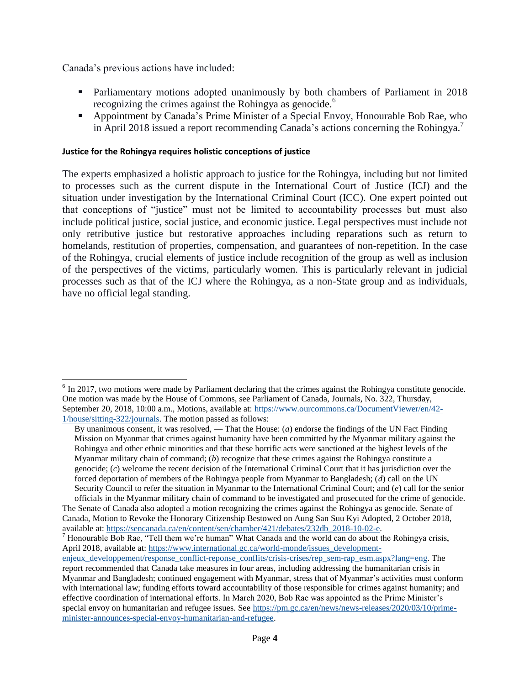Canada's previous actions have included:

- Parliamentary motions adopted unanimously by both chambers of Parliament in 2018 recognizing the crimes against the Rohingya as genocide.<sup>6</sup>
- Appointment by Canada's Prime Minister of a Special Envoy, Honourable Bob Rae, who in April 2018 issued a report recommending Canada's actions concerning the Rohingya.<sup>7</sup>

#### <span id="page-7-0"></span>**Justice for the Rohingya requires holistic conceptions of justice**

The experts emphasized a holistic approach to justice for the Rohingya, including but not limited to processes such as the current dispute in the International Court of Justice (ICJ) and the situation under investigation by the International Criminal Court (ICC). One expert pointed out that conceptions of "justice" must not be limited to accountability processes but must also include political justice, social justice, and economic justice. Legal perspectives must include not only retributive justice but restorative approaches including reparations such as return to homelands, restitution of properties, compensation, and guarantees of non-repetition. In the case of the Rohingya, crucial elements of justice include recognition of the group as well as inclusion of the perspectives of the victims, particularly women. This is particularly relevant in judicial processes such as that of the ICJ where the Rohingya, as a non-State group and as individuals, have no official legal standing.

l  $6$  In 2017, two motions were made by Parliament declaring that the crimes against the Rohingya constitute genocide. One motion was made by the House of Commons, see Parliament of Canada, Journals, No. 322, Thursday, September 20, 2018, 10:00 a.m., Motions, available at: [https://www.ourcommons.ca/DocumentViewer/en/42-](https://www.ourcommons.ca/DocumentViewer/en/42-1/house/sitting-322/journals) [1/house/sitting-322/journals.](https://www.ourcommons.ca/DocumentViewer/en/42-1/house/sitting-322/journals) The motion passed as follows:

By unanimous consent, it was resolved, — That the House: (*a*) endorse the findings of the UN Fact Finding Mission on Myanmar that crimes against humanity have been committed by the Myanmar military against the Rohingya and other ethnic minorities and that these horrific acts were sanctioned at the highest levels of the Myanmar military chain of command; (*b*) recognize that these crimes against the Rohingya constitute a genocide; (*c*) welcome the recent decision of the International Criminal Court that it has jurisdiction over the forced deportation of members of the Rohingya people from Myanmar to Bangladesh; (*d*) call on the UN Security Council to refer the situation in Myanmar to the International Criminal Court; and (*e*) call for the senior officials in the Myanmar military chain of command to be investigated and prosecuted for the crime of genocide.

The Senate of Canada also adopted a motion recognizing the crimes against the Rohingya as genocide. Senate of Canada, Motion to Revoke the Honorary Citizenship Bestowed on Aung San Suu Kyi Adopted, 2 October 2018, available at: [https://sencanada.ca/en/content/sen/chamber/421/debates/232db\\_2018-10-02-e.](https://sencanada.ca/en/content/sen/chamber/421/debates/232db_2018-10-02-e)

<sup>&</sup>lt;sup>7</sup> Honourable Bob Rae, "Tell them we're human" What Canada and the world can do about the Rohingya crisis, April 2018, available at[: https://www.international.gc.ca/world-monde/issues\\_development-](https://www.international.gc.ca/world-monde/issues_development-enjeux_developpement/response_conflict-reponse_conflits/crisis-crises/rep_sem-rap_esm.aspx?lang=eng)

[enjeux\\_developpement/response\\_conflict-reponse\\_conflits/crisis-crises/rep\\_sem-rap\\_esm.aspx?lang=eng.](https://www.international.gc.ca/world-monde/issues_development-enjeux_developpement/response_conflict-reponse_conflits/crisis-crises/rep_sem-rap_esm.aspx?lang=eng) The report recommended that Canada take measures in four areas, including addressing the humanitarian crisis in Myanmar and Bangladesh; continued engagement with Myanmar, stress that of Myanmar's activities must conform with international law; funding efforts toward accountability of those responsible for crimes against humanity; and effective coordination of international efforts. In March 2020, Bob Rae was appointed as the Prime Minister's special envoy on humanitarian and refugee issues. See [https://pm.gc.ca/en/news/news-releases/2020/03/10/prime](https://pm.gc.ca/en/news/news-releases/2020/03/10/prime-minister-announces-special-envoy-humanitarian-and-refugee)[minister-announces-special-envoy-humanitarian-and-refugee.](https://pm.gc.ca/en/news/news-releases/2020/03/10/prime-minister-announces-special-envoy-humanitarian-and-refugee)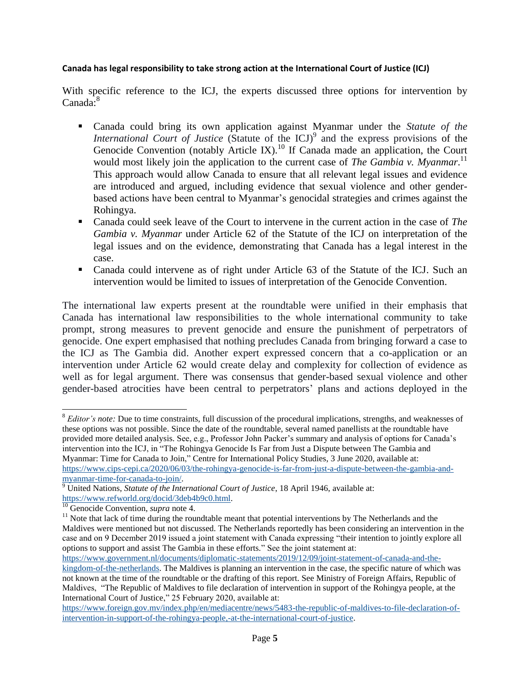#### <span id="page-8-0"></span>**Canada has legal responsibility to take strong action at the International Court of Justice (ICJ)**

With specific reference to the ICJ, the experts discussed three options for intervention by Canada:<sup>8</sup>

- Canada could bring its own application against Myanmar under the *Statute of the International Court of Justice* (Statute of the ICJ)<sup>9</sup> and the express provisions of the Genocide Convention (notably Article IX).<sup>10</sup> If Canada made an application, the Court would most likely join the application to the current case of *The Gambia v. Myanmar*. 11 This approach would allow Canada to ensure that all relevant legal issues and evidence are introduced and argued, including evidence that sexual violence and other genderbased actions have been central to Myanmar's genocidal strategies and crimes against the Rohingya.
- Canada could seek leave of the Court to intervene in the current action in the case of *The Gambia v. Myanmar* under Article 62 of the Statute of the ICJ on interpretation of the legal issues and on the evidence, demonstrating that Canada has a legal interest in the case.
- Canada could intervene as of right under Article 63 of the Statute of the ICJ. Such an intervention would be limited to issues of interpretation of the Genocide Convention.

The international law experts present at the roundtable were unified in their emphasis that Canada has international law responsibilities to the whole international community to take prompt, strong measures to prevent genocide and ensure the punishment of perpetrators of genocide. One expert emphasised that nothing precludes Canada from bringing forward a case to the ICJ as The Gambia did. Another expert expressed concern that a co-application or an intervention under Article 62 would create delay and complexity for collection of evidence as well as for legal argument. There was consensus that gender-based sexual violence and other gender-based atrocities have been central to perpetrators' plans and actions deployed in the

l <sup>8</sup> *Editor's note:* Due to time constraints, full discussion of the procedural implications, strengths, and weaknesses of these options was not possible. Since the date of the roundtable, several named panellists at the roundtable have provided more detailed analysis. See, e.g., Professor John Packer's summary and analysis of options for Canada's intervention into the ICJ, in "The Rohingya Genocide Is Far from Just a Dispute between The Gambia and Myanmar: Time for Canada to Join," Centre for International Policy Studies, 3 June 2020, available at: [https://www.cips-cepi.ca/2020/06/03/the-rohingya-genocide-is-far-from-just-a-dispute-between-the-gambia-and](https://www.cips-cepi.ca/2020/06/03/the-rohingya-genocide-is-far-from-just-a-dispute-between-the-gambia-and-myanmar-time-for-canada-to-join/)[myanmar-time-for-canada-to-join/.](https://www.cips-cepi.ca/2020/06/03/the-rohingya-genocide-is-far-from-just-a-dispute-between-the-gambia-and-myanmar-time-for-canada-to-join/)

<sup>&</sup>lt;sup>9</sup> United Nations, *Statute of the International Court of Justice*, 18 April 1946, available at: [https://www.refworld.org/docid/3deb4b9c0.html.](https://www.refworld.org/docid/3deb4b9c0.html)

<sup>10</sup> Genocide Convention, *supra* note 4.

<sup>&</sup>lt;sup>11</sup> Note that lack of time during the roundtable meant that potential interventions by The Netherlands and the Maldives were mentioned but not discussed. The Netherlands reportedly has been considering an intervention in the case and on 9 December 2019 issued a joint statement with Canada expressing "their intention to jointly explore all options to support and assist The Gambia in these efforts." See the joint statement at:

[https://www.government.nl/documents/diplomatic-statements/2019/12/09/joint-statement-of-canada-and-the](https://www.government.nl/documents/diplomatic-statements/2019/12/09/joint-statement-of-canada-and-the-kingdom-of-the-netherlands)[kingdom-of-the-netherlands.](https://www.government.nl/documents/diplomatic-statements/2019/12/09/joint-statement-of-canada-and-the-kingdom-of-the-netherlands) The Maldives is planning an intervention in the case, the specific nature of which was not known at the time of the roundtable or the drafting of this report. See Ministry of Foreign Affairs, Republic of Maldives, "The Republic of Maldives to file declaration of intervention in support of the Rohingya people, at the International Court of Justice," 25 February 2020, available at:

[https://www.foreign.gov.mv/index.php/en/mediacentre/news/5483-the-republic-of-maldives-to-file-declaration-of](https://www.foreign.gov.mv/index.php/en/mediacentre/news/5483-the-republic-of-maldives-to-file-declaration-of-intervention-in-support-of-the-rohingya-people,-at-the-international-court-of-justice)[intervention-in-support-of-the-rohingya-people,-at-the-international-court-of-justice.](https://www.foreign.gov.mv/index.php/en/mediacentre/news/5483-the-republic-of-maldives-to-file-declaration-of-intervention-in-support-of-the-rohingya-people,-at-the-international-court-of-justice)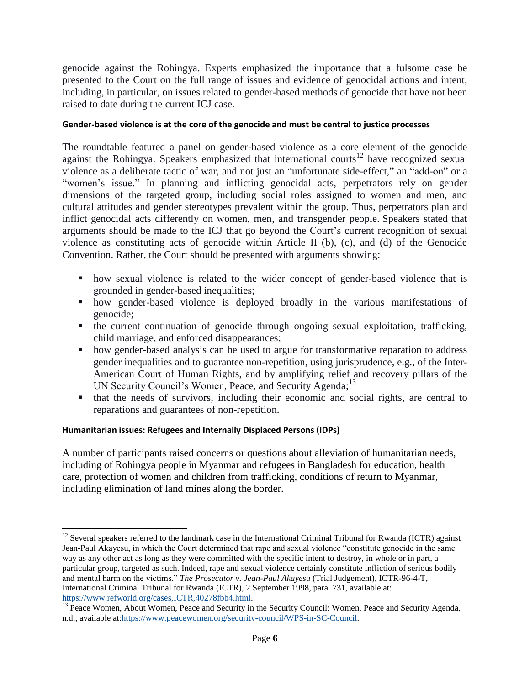genocide against the Rohingya. Experts emphasized the importance that a fulsome case be presented to the Court on the full range of issues and evidence of genocidal actions and intent, including, in particular, on issues related to gender-based methods of genocide that have not been raised to date during the current ICJ case.

#### <span id="page-9-0"></span>**Gender-based violence is at the core of the genocide and must be central to justice processes**

The roundtable featured a panel on gender-based violence as a core element of the genocide against the Rohingya. Speakers emphasized that international courts<sup>12</sup> have recognized sexual violence as a deliberate tactic of war, and not just an "unfortunate side-effect," an "add-on" or a "women's issue." In planning and inflicting genocidal acts, perpetrators rely on gender dimensions of the targeted group, including social roles assigned to women and men, and cultural attitudes and gender stereotypes prevalent within the group. Thus, perpetrators plan and inflict genocidal acts differently on women, men, and transgender people. Speakers stated that arguments should be made to the ICJ that go beyond the Court's current recognition of sexual violence as constituting acts of genocide within Article II (b), (c), and (d) of the Genocide Convention. Rather, the Court should be presented with arguments showing:

- how sexual violence is related to the wider concept of gender-based violence that is grounded in gender-based inequalities;
- how gender-based violence is deployed broadly in the various manifestations of genocide;
- the current continuation of genocide through ongoing sexual exploitation, trafficking, child marriage, and enforced disappearances;
- how gender-based analysis can be used to argue for transformative reparation to address gender inequalities and to guarantee non-repetition, using jurisprudence, e.g., of the Inter-American Court of Human Rights, and by amplifying relief and recovery pillars of the UN Security Council's Women, Peace, and Security Agenda;<sup>13</sup>
- that the needs of survivors, including their economic and social rights, are central to reparations and guarantees of non-repetition.

## <span id="page-9-1"></span>**Humanitarian issues: Refugees and Internally Displaced Persons (IDPs)**

A number of participants raised concerns or questions about alleviation of humanitarian needs, including of Rohingya people in Myanmar and refugees in Bangladesh for education, health care, protection of women and children from trafficking, conditions of return to Myanmar, including elimination of land mines along the border.

l  $12$  Several speakers referred to the landmark case in the International Criminal Tribunal for Rwanda (ICTR) against Jean-Paul Akayesu, in which the Court determined that rape and sexual violence "constitute genocide in the same way as any other act as long as they were committed with the specific intent to destroy, in whole or in part, a particular group, targeted as such. Indeed, rape and sexual violence certainly constitute infliction of serious bodily and mental harm on the victims." *The Prosecutor v. Jean-Paul Akayesu* (Trial Judgement), ICTR-96-4-T, International Criminal Tribunal for Rwanda (ICTR), 2 September 1998, para. 731, available at: [https://www.refworld.org/cases,ICTR,40278fbb4.html.](https://www.refworld.org/cases,ICTR,40278fbb4.html)

<sup>&</sup>lt;sup>13</sup> Peace Women, About Women, Peace and Security in the Security Council: Women, Peace and Security Agenda, n.d., available at[:https://www.peacewomen.org/security-council/WPS-in-SC-Council.](https://www.peacewomen.org/security-council/WPS-in-SC-Council)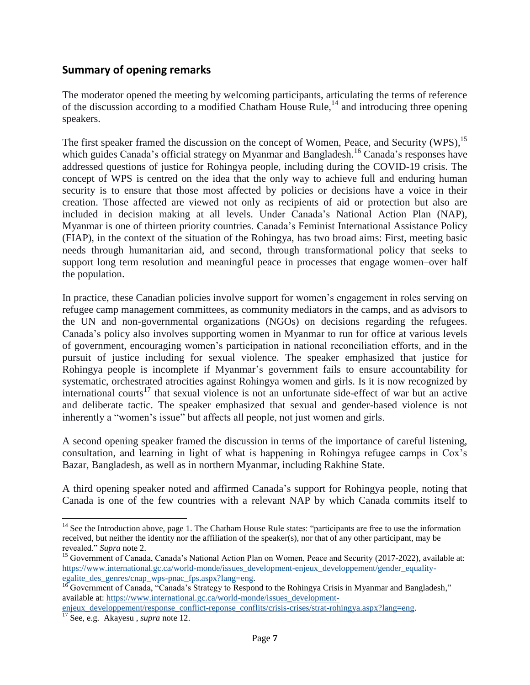# <span id="page-10-0"></span>**Summary of opening remarks**

The moderator opened the meeting by welcoming participants, articulating the terms of reference of the discussion according to a modified Chatham House Rule,<sup>14</sup> and introducing three opening speakers.

The first speaker framed the discussion on the concept of Women, Peace, and Security (WPS),<sup>15</sup> which guides Canada's official strategy on Myanmar and Bangladesh.<sup>16</sup> Canada's responses have addressed questions of justice for Rohingya people, including during the COVID-19 crisis. The concept of WPS is centred on the idea that the only way to achieve full and enduring human security is to ensure that those most affected by policies or decisions have a voice in their creation. Those affected are viewed not only as recipients of aid or protection but also are included in decision making at all levels. Under Canada's National Action Plan (NAP), Myanmar is one of thirteen priority countries. Canada's Feminist International Assistance Policy (FIAP), in the context of the situation of the Rohingya, has two broad aims: First, meeting basic needs through humanitarian aid, and second, through transformational policy that seeks to support long term resolution and meaningful peace in processes that engage women–over half the population.

In practice, these Canadian policies involve support for women's engagement in roles serving on refugee camp management committees, as community mediators in the camps, and as advisors to the UN and non-governmental organizations (NGOs) on decisions regarding the refugees. Canada's policy also involves supporting women in Myanmar to run for office at various levels of government, encouraging women's participation in national reconciliation efforts, and in the pursuit of justice including for sexual violence. The speaker emphasized that justice for Rohingya people is incomplete if Myanmar's government fails to ensure accountability for systematic, orchestrated atrocities against Rohingya women and girls. Is it is now recognized by international courts<sup>17</sup> that sexual violence is not an unfortunate side-effect of war but an active and deliberate tactic. The speaker emphasized that sexual and gender-based violence is not inherently a "women's issue" but affects all people, not just women and girls.

A second opening speaker framed the discussion in terms of the importance of careful listening, consultation, and learning in light of what is happening in Rohingya refugee camps in Cox's Bazar, Bangladesh, as well as in northern Myanmar, including Rakhine State.

A third opening speaker noted and affirmed Canada's support for Rohingya people, noting that Canada is one of the few countries with a relevant NAP by which Canada commits itself to

 $\overline{a}$ 

 $14$  See the Introduction above, page 1. The Chatham House Rule states: "participants are free to use the information received, but neither the identity nor the affiliation of the speaker(s), nor that of any other participant, may be revealed." *Supra* note 2.

<sup>&</sup>lt;sup>15</sup> Government of Canada, Canada's National Action Plan on Women, Peace and Security (2017-2022), available at: [https://www.international.gc.ca/world-monde/issues\\_development-enjeux\\_developpement/gender\\_equality](https://www.international.gc.ca/world-monde/issues_development-enjeux_developpement/gender_equality-egalite_des_genres/cnap_wps-pnac_fps.aspx?lang=eng)[egalite\\_des\\_genres/cnap\\_wps-pnac\\_fps.aspx?lang=eng.](https://www.international.gc.ca/world-monde/issues_development-enjeux_developpement/gender_equality-egalite_des_genres/cnap_wps-pnac_fps.aspx?lang=eng)

<sup>&</sup>lt;sup>16</sup> Government of Canada, "Canada's Strategy to Respond to the Rohingya Crisis in Myanmar and Bangladesh," available at: [https://www.international.gc.ca/world-monde/issues\\_development-](https://www.international.gc.ca/world-monde/issues_development-enjeux_developpement/response_conflict-reponse_conflits/crisis-crises/strat-rohingya.aspx?lang=eng)

[enjeux\\_developpement/response\\_conflict-reponse\\_conflits/crisis-crises/strat-rohingya.aspx?lang=eng.](https://www.international.gc.ca/world-monde/issues_development-enjeux_developpement/response_conflict-reponse_conflits/crisis-crises/strat-rohingya.aspx?lang=eng)

<sup>17</sup> See, e.g. Akayesu , *supra* note 12.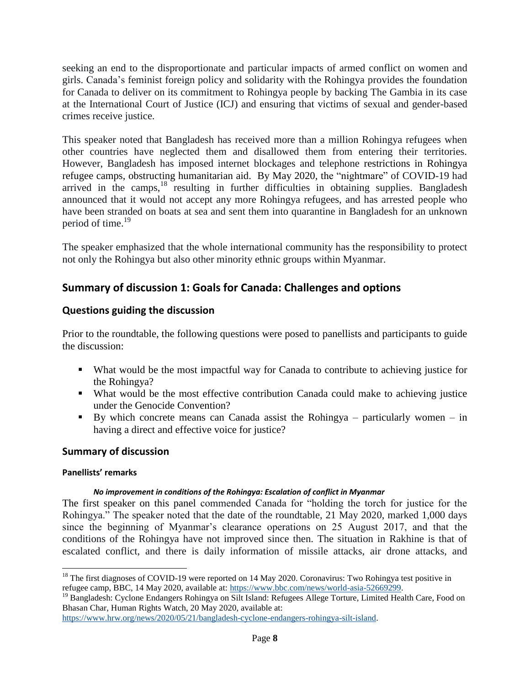seeking an end to the disproportionate and particular impacts of armed conflict on women and girls. Canada's feminist foreign policy and solidarity with the Rohingya provides the foundation for Canada to deliver on its commitment to Rohingya people by backing The Gambia in its case at the International Court of Justice (ICJ) and ensuring that victims of sexual and gender-based crimes receive justice.

This speaker noted that Bangladesh has received more than a million Rohingya refugees when other countries have neglected them and disallowed them from entering their territories. However, Bangladesh has imposed internet blockages and telephone restrictions in Rohingya refugee camps, obstructing humanitarian aid. By May 2020, the "nightmare" of COVID-19 had arrived in the camps,<sup>18</sup> resulting in further difficulties in obtaining supplies. Bangladesh announced that it would not accept any more Rohingya refugees, and has arrested people who have been stranded on boats at sea and sent them into quarantine in Bangladesh for an unknown period of time.<sup>19</sup>

The speaker emphasized that the whole international community has the responsibility to protect not only the Rohingya but also other minority ethnic groups within Myanmar.

# <span id="page-11-0"></span>**Summary of discussion 1: Goals for Canada: Challenges and options**

# <span id="page-11-1"></span>**Questions guiding the discussion**

Prior to the roundtable, the following questions were posed to panellists and participants to guide the discussion:

- What would be the most impactful way for Canada to contribute to achieving justice for the Rohingya?
- What would be the most effective contribution Canada could make to achieving justice under the Genocide Convention?
- By which concrete means can Canada assist the Rohingya particularly women in having a direct and effective voice for justice?

# <span id="page-11-2"></span>**Summary of discussion**

## <span id="page-11-3"></span>**Panellists' remarks**

## *No improvement in conditions of the Rohingya: Escalation of conflict in Myanmar*

The first speaker on this panel commended Canada for "holding the torch for justice for the Rohingya." The speaker noted that the date of the roundtable, 21 May 2020, marked 1,000 days since the beginning of Myanmar's clearance operations on 25 August 2017, and that the conditions of the Rohingya have not improved since then. The situation in Rakhine is that of escalated conflict, and there is daily information of missile attacks, air drone attacks, and

 $\overline{a}$  $18$  The first diagnoses of COVID-19 were reported on 14 May 2020. Coronavirus: Two Rohingya test positive in refugee camp, BBC, 14 May 2020, available at: [https://www.bbc.com/news/world-asia-52669299.](https://www.bbc.com/news/world-asia-52669299)

<sup>&</sup>lt;sup>19</sup> Bangladesh: Cyclone Endangers Rohingya on Silt Island: Refugees Allege Torture, Limited Health Care, Food on Bhasan Char, Human Rights Watch, 20 May 2020, available at:

[https://www.hrw.org/news/2020/05/21/bangladesh-cyclone-endangers-rohingya-silt-island.](https://www.hrw.org/news/2020/05/21/bangladesh-cyclone-endangers-rohingya-silt-island)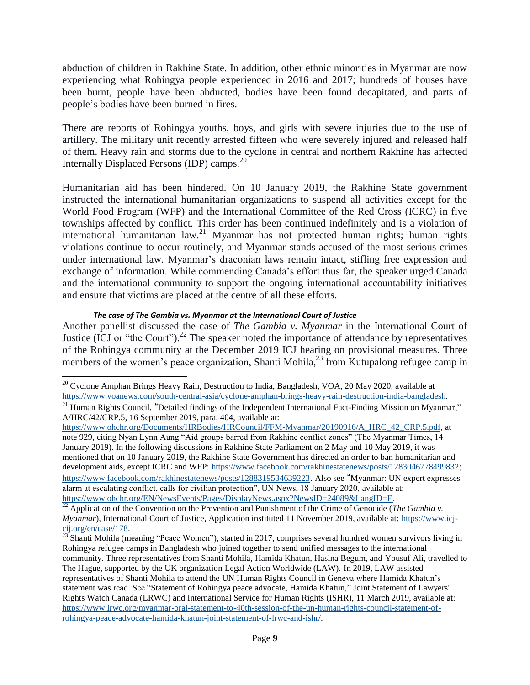abduction of children in Rakhine State. In addition, other ethnic minorities in Myanmar are now experiencing what Rohingya people experienced in 2016 and 2017; hundreds of houses have been burnt, people have been abducted, bodies have been found decapitated, and parts of people's bodies have been burned in fires.

There are reports of Rohingya youths, boys, and girls with severe injuries due to the use of artillery. The military unit recently arrested fifteen who were severely injured and released half of them. Heavy rain and storms due to the cyclone in central and northern Rakhine has affected Internally Displaced Persons (IDP) camps.<sup>20</sup>

Humanitarian aid has been hindered. On 10 January 2019, the Rakhine State government instructed the international humanitarian organizations to suspend all activities except for the World Food Program (WFP) and the International Committee of the Red Cross (ICRC) in five townships affected by conflict. This order has been continued indefinitely and is a violation of international humanitarian law.<sup>21</sup> Myanmar has not protected human rights; human rights violations continue to occur routinely, and Myanmar stands accused of the most serious crimes under international law. Myanmar's draconian laws remain intact, stifling free expression and exchange of information. While commending Canada's effort thus far, the speaker urged Canada and the international community to support the ongoing international accountability initiatives and ensure that victims are placed at the centre of all these efforts.

#### *The case of The Gambia vs. Myanmar at the International Court of Justice*

Another panellist discussed the case of *The Gambia v. Myanmar* in the International Court of Justice (ICJ or "the Court").<sup>22</sup> The speaker noted the importance of attendance by representatives of the Rohingya community at the December 2019 ICJ hearing on provisional measures. Three members of the women's peace organization, Shanti Mohila, $^{23}$  from Kutupalong refugee camp in

[https://www.facebook.com/rakhinestatenews/posts/1288319534639223.](https://www.facebook.com/rakhinestatenews/posts/1288319534639223) Also see "Myanmar: UN expert expresses alarm at escalating conflict, calls for civilian protection", UN News, 18 January 2020, available at: [https://www.ohchr.org/EN/NewsEvents/Pages/DisplayNews.aspx?NewsID=24089&LangID=E.](https://www.ohchr.org/EN/NewsEvents/Pages/DisplayNews.aspx?NewsID=24089&LangID=E)

l <sup>20</sup> Cyclone Amphan Brings Heavy Rain, Destruction to India, Bangladesh, VOA, 20 May 2020, available at [https://www.voanews.com/south-central-asia/cyclone-amphan-brings-heavy-rain-destruction-india-bangladesh.](https://www.voanews.com/south-central-asia/cyclone-amphan-brings-heavy-rain-destruction-india-bangladesh)

<sup>&</sup>lt;sup>21</sup> Human Rights Council, "Detailed findings of the Independent International Fact-Finding Mission on Myanmar," A/HRC/42/CRP.5, 16 September 2019, para. 404, available at:

[https://www.ohchr.org/Documents/HRBodies/HRCouncil/FFM-Myanmar/20190916/A\\_HRC\\_42\\_CRP.5.pdf,](https://www.ohchr.org/Documents/HRBodies/HRCouncil/FFM-Myanmar/20190916/A_HRC_42_CRP.5.pdf) at note 929, citing Nyan Lynn Aung "Aid groups barred from Rakhine conflict zones" (The Myanmar Times, 14 January 2019). In the following discussions in Rakhine State Parliament on 2 May and 10 May 2019, it was mentioned that on 10 January 2019, the Rakhine State Government has directed an order to ban humanitarian and development aids, except ICRC and WFP: [https://www.facebook.com/rakhinestatenews/posts/1283046778499832;](https://www.facebook.com/rakhinestatenews/posts/1283046778499832)

<sup>&</sup>lt;sup>22</sup> Application of the Convention on the Prevention and Punishment of the Crime of Genocide (*The Gambia v*. *Myanmar*), International Court of Justice, Application instituted 11 November 2019, available at: [https://www.icj](https://www.icj-cij.org/en/case/178)[cij.org/en/case/178.](https://www.icj-cij.org/en/case/178)

 $^{23}$  Shanti Mohila (meaning "Peace Women"), started in 2017, comprises several hundred women survivors living in Rohingya refugee camps in Bangladesh who joined together to send unified messages to the international community. Three representatives from Shanti Mohila, Hamida Khatun, Hasina Begum, and Yousuf Ali, travelled to The Hague, supported by the UK organization Legal Action Worldwide (LAW). In 2019, LAW assisted representatives of Shanti Mohila to attend the UN Human Rights Council in Geneva where Hamida Khatun's statement was read. See "Statement of Rohingya peace advocate, Hamida Khatun," Joint Statement of Lawyers' Rights Watch Canada (LRWC) and International Service for Human Rights (ISHR), 11 March 2019, available at: [https://www.lrwc.org/myanmar-oral-statement-to-40th-session-of-the-un-human-rights-council-statement-of](https://www.lrwc.org/myanmar-oral-statement-to-40th-session-of-the-un-human-rights-council-statement-of-rohingya-peace-advocate-hamida-khatun-joint-statement-of-lrwc-and-ishr/)[rohingya-peace-advocate-hamida-khatun-joint-statement-of-lrwc-and-ishr/.](https://www.lrwc.org/myanmar-oral-statement-to-40th-session-of-the-un-human-rights-council-statement-of-rohingya-peace-advocate-hamida-khatun-joint-statement-of-lrwc-and-ishr/)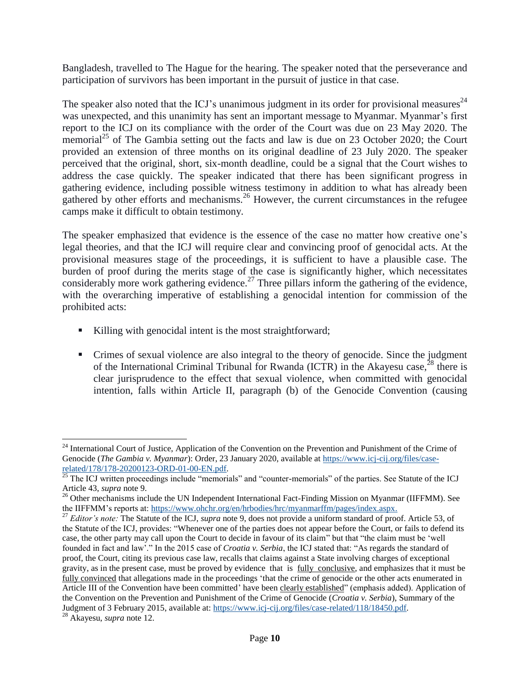Bangladesh, travelled to The Hague for the hearing. The speaker noted that the perseverance and participation of survivors has been important in the pursuit of justice in that case.

The speaker also noted that the ICJ's unanimous judgment in its order for provisional measures<sup>24</sup> was unexpected, and this unanimity has sent an important message to Myanmar. Myanmar's first report to the ICJ on its compliance with the order of the Court was due on 23 May 2020. The memorial<sup>25</sup> of The Gambia setting out the facts and law is due on 23 October 2020; the Court provided an extension of three months on its original deadline of 23 July 2020. The speaker perceived that the original, short, six-month deadline, could be a signal that the Court wishes to address the case quickly. The speaker indicated that there has been significant progress in gathering evidence, including possible witness testimony in addition to what has already been gathered by other efforts and mechanisms.<sup>26</sup> However, the current circumstances in the refugee camps make it difficult to obtain testimony.

The speaker emphasized that evidence is the essence of the case no matter how creative one's legal theories, and that the ICJ will require clear and convincing proof of genocidal acts. At the provisional measures stage of the proceedings, it is sufficient to have a plausible case. The burden of proof during the merits stage of the case is significantly higher, which necessitates considerably more work gathering evidence.<sup>27</sup> Three pillars inform the gathering of the evidence, with the overarching imperative of establishing a genocidal intention for commission of the prohibited acts:

- Killing with genocidal intent is the most straightforward;
- Crimes of sexual violence are also integral to the theory of genocide. Since the judgment of the International Criminal Tribunal for Rwanda (ICTR) in the Akayesu case,  $^{28}$  there is clear jurisprudence to the effect that sexual violence, when committed with genocidal intention, falls within Article II, paragraph (b) of the Genocide Convention (causing

l

<sup>&</sup>lt;sup>24</sup> International Court of Justice, Application of the Convention on the Prevention and Punishment of the Crime of Genocide (*The Gambia v. Myanmar*): Order, 23 January 2020, available at [https://www.icj-cij.org/files/case](https://www.icj-cij.org/files/case-related/178/178-20200123-ORD-01-00-EN.pdf)[related/178/178-20200123-ORD-01-00-EN.pdf.](https://www.icj-cij.org/files/case-related/178/178-20200123-ORD-01-00-EN.pdf)

<sup>&</sup>lt;sup>25</sup> The ICJ written proceedings include "memorials" and "counter-memorials" of the parties. See Statute of the ICJ Article 43, *supra* note 9.

<sup>&</sup>lt;sup>26</sup> Other mechanisms include the UN Independent International Fact-Finding Mission on Myanmar (IIFFMM). See the IIFFMM's reports at: [https://www.ohchr.org/en/hrbodies/hrc/myanmarffm/pages/index.aspx.](https://www.ohchr.org/en/hrbodies/hrc/myanmarffm/pages/index.aspx)

<sup>&</sup>lt;sup>27</sup> *Editor's note:* The Statute of the ICJ, *supra* note 9, does not provide a uniform standard of proof. Article 53, of the Statute of the ICJ, provides: "Whenever one of the parties does not appear before the Court, or fails to defend its case, the other party may call upon the Court to decide in favour of its claim" but that "the claim must be 'well founded in fact and law'." In the 2015 case of *Croatia v. Serbia*, the ICJ stated that: "As regards the standard of proof, the Court, citing its previous case law, recalls that claims against a State involving charges of exceptional gravity, as in the present case, must be proved by evidence that is fully conclusive*,* and emphasizes that it must be fully convinced that allegations made in the proceedings 'that the crime of genocide or the other acts enumerated in Article III of the Convention have been committed' have been clearly established" (emphasis added). Application of the Convention on the Prevention and Punishment of the Crime of Genocide (*Croatia v. Serbia*), Summary of the Judgment of 3 February 2015, available at: [https://www.icj-cij.org/files/case-related/118/18450.pdf.](https://www.icj-cij.org/files/case-related/118/18450.pdf)

<sup>28</sup> Akayesu, *[supra](file:///C:/Users/Catherine/Documents/aWPDATA/CATH/aPEACEMAKERS%20TRUST/aaMyanmar%20Round%20Table/Report/Current/Supra)* note 12.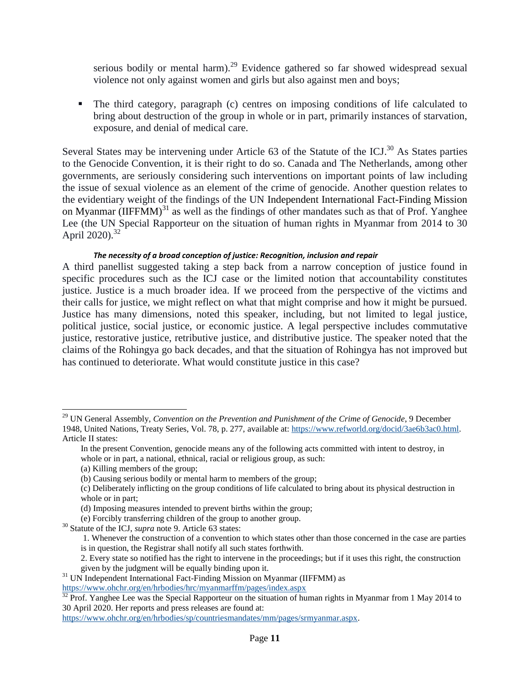serious bodily or mental harm).<sup>29</sup> Evidence gathered so far showed widespread sexual violence not only against women and girls but also against men and boys;

 The third category, paragraph (c) centres on imposing conditions of life calculated to bring about destruction of the group in whole or in part, primarily instances of starvation, exposure, and denial of medical care.

Several States may be intervening under Article 63 of the Statute of the ICJ.<sup>30</sup> As States parties to the Genocide Convention, it is their right to do so. Canada and The Netherlands, among other governments, are seriously considering such interventions on important points of law including the issue of sexual violence as an element of the crime of genocide. Another question relates to the evidentiary weight of the findings of the UN Independent International Fact-Finding Mission on Myanmar  $(IIFFMM)^{31}$  as well as the findings of other mandates such as that of Prof. Yanghee Lee (the UN Special Rapporteur on the situation of human rights in Myanmar from 2014 to 30 April 2020).<sup>32</sup>

#### *The necessity of a broad conception of justice: Recognition, inclusion and repair*

A third panellist suggested taking a step back from a narrow conception of justice found in specific procedures such as the ICJ case or the limited notion that accountability constitutes justice. Justice is a much broader idea. If we proceed from the perspective of the victims and their calls for justice, we might reflect on what that might comprise and how it might be pursued. Justice has many dimensions, noted this speaker, including, but not limited to legal justice, political justice, social justice, or economic justice. A legal perspective includes commutative justice, restorative justice, retributive justice, and distributive justice. The speaker noted that the claims of the Rohingya go back decades, and that the situation of Rohingya has not improved but has continued to deteriorate. What would constitute justice in this case?

l

<sup>30</sup> Statute of the ICJ, *supra* note 9. Article 63 states:

<sup>29</sup> UN General Assembly, *Convention on the Prevention and Punishment of the Crime of Genocide*, 9 December 1948, United Nations, Treaty Series, Vol. 78, p. 277, available at: [https://www.refworld.org/docid/3ae6b3ac0.html.](https://www.refworld.org/docid/3ae6b3ac0.html) Article II states:

In the present Convention, genocide means any of the following acts committed with intent to destroy, in whole or in part, a national, ethnical, racial or religious group, as such:

<sup>(</sup>a) Killing members of the group;

<sup>(</sup>b) Causing serious bodily or mental harm to members of the group;

<sup>(</sup>c) Deliberately inflicting on the group conditions of life calculated to bring about its physical destruction in whole or in part;

<sup>(</sup>d) Imposing measures intended to prevent births within the group;

<sup>(</sup>e) Forcibly transferring children of the group to another group.

<sup>1.</sup> Whenever the construction of a convention to which states other than those concerned in the case are parties is in question, the Registrar shall notify all such states forthwith.

<sup>2.</sup> Every state so notified has the right to intervene in the proceedings; but if it uses this right, the construction given by the judgment will be equally binding upon it.

<sup>&</sup>lt;sup>31</sup> UN Independent International Fact-Finding Mission on Myanmar (IIFFMM) as <https://www.ohchr.org/en/hrbodies/hrc/myanmarffm/pages/index.aspx>

 $32$  Prof. Yanghee Lee was the Special Rapporteur on the situation of human rights in Myanmar from 1 May 2014 to 30 April 2020. Her reports and press releases are found at:

[https://www.ohchr.org/en/hrbodies/sp/countriesmandates/mm/pages/srmyanmar.aspx.](https://www.ohchr.org/en/hrbodies/sp/countriesmandates/mm/pages/srmyanmar.aspx)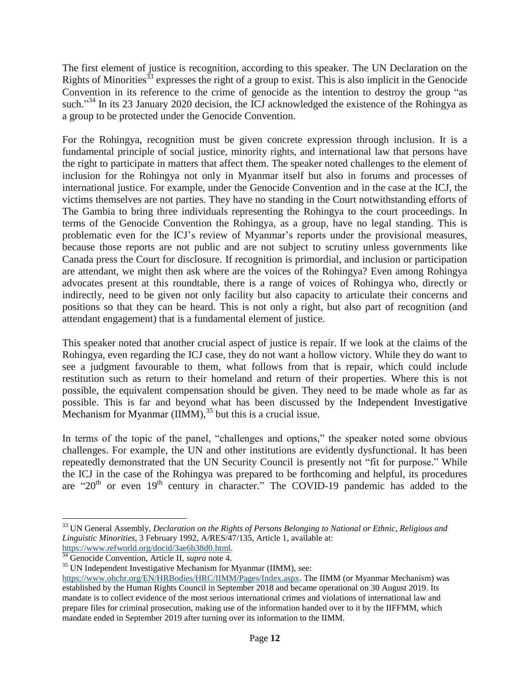The first element of justice is recognition, according to this speaker. The UN Declaration on the Rights of Minorities<sup> $33$ </sup> expresses the right of a group to exist. This is also implicit in the Genocide Convention in its reference to the crime of genocide as the intention to destroy the group "as such."<sup>34</sup> In its 23 January 2020 decision, the ICJ acknowledged the existence of the Rohingya as a group to be protected under the Genocide Convention.

For the Rohingya, recognition must be given concrete expression through inclusion. It is a fundamental principle of social justice, minority rights, and international law that persons have the right to participate in matters that affect them. The speaker noted challenges to the element of inclusion for the Rohingya not only in Myanmar itself but also in forums and processes of international justice. For example, under the Genocide Convention and in the case at the ICJ, the victims themselves are not parties. They have no standing in the Court notwithstanding efforts of The Gambia to bring three individuals representing the Rohingya to the court proceedings. In terms of the Genocide Convention the Rohingya, as a group, have no legal standing. This is problematic even for the ICJ's review of Myanmar's reports under the provisional measures, because those reports are not public and are not subject to scrutiny unless governments like Canada press the Court for disclosure. If recognition is primordial, and inclusion or participation are attendant, we might then ask where are the voices of the Rohingya? Even among Rohingya advocates present at this roundtable, there is a range of voices of Rohingya who, directly or indirectly, need to be given not only facility but also capacity to articulate their concerns and positions so that they can be heard. This is not only a right, but also part of recognition (and attendant engagement) that is a fundamental element of justice.

This speaker noted that another crucial aspect of justice is repair. If we look at the claims of the Rohingya, even regarding the ICJ case, they do not want a hollow victory. While they do want to see a judgment favourable to them, what follows from that is repair, which could include restitution such as return to their homeland and return of their properties. Where this is not possible, the equivalent compensation should be given. They need to be made whole as far as possible. This is far and beyond what has been discussed by the Independent Investigative Mechanism for Myanmar  $(IIMM)$ ,<sup>35</sup> but this is a crucial issue.

In terms of the topic of the panel, "challenges and options," the speaker noted some obvious challenges. For example, the UN and other institutions are evidently dysfunctional. It has been repeatedly demonstrated that the UN Security Council is presently not "fit for purpose." While the ICJ in the case of the Rohingya was prepared to be forthcoming and helpful, its procedures are "20<sup>th</sup> or even 19<sup>th</sup> century in character." The COVID-19 pandemic has added to the

 $\overline{a}$ 

<sup>33</sup> UN General Assembly, *Declaration on the Rights of Persons Belonging to National or Ethnic, Religious and Linguistic Minorities*, 3 February 1992, A/RES/47/135, Article 1, available at: [https://www.refworld.org/docid/3ae6b38d0.html.](https://www.refworld.org/docid/3ae6b38d0.html)

<sup>&</sup>lt;sup>34</sup> Genocide Convention, Article II, *supra* note 4.

<sup>&</sup>lt;sup>35</sup> UN Independent Investigative Mechanism for Myanmar (IIMM), see:

[https://www.ohchr.org/EN/HRBodies/HRC/IIMM/Pages/Index.aspx.](https://www.ohchr.org/EN/HRBodies/HRC/IIMM/Pages/Index.aspx) The IIMM (or Myanmar Mechanism) was established by the Human Rights Council in September 2018 and became operational on 30 August 2019. Its mandate is to collect evidence of the most serious international crimes and violations of international law and prepare files for criminal prosecution, making use of the information handed over to it by the IIFFMM, which mandate ended in September 2019 after turning over its information to the IIMM.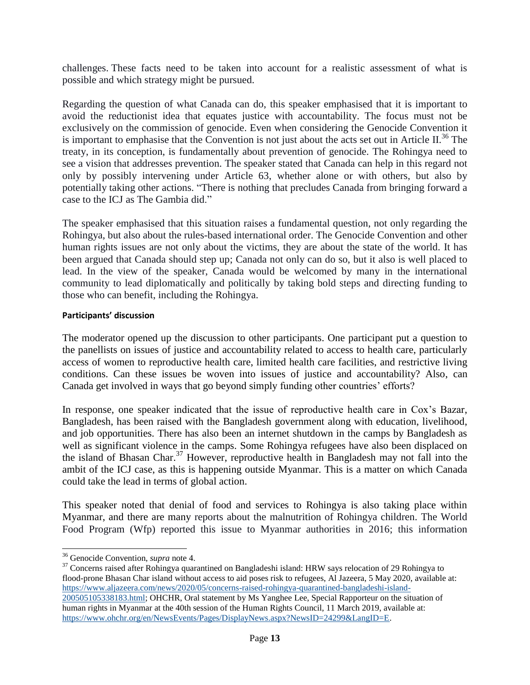challenges. These facts need to be taken into account for a realistic assessment of what is possible and which strategy might be pursued.

Regarding the question of what Canada can do, this speaker emphasised that it is important to avoid the reductionist idea that equates justice with accountability. The focus must not be exclusively on the commission of genocide. Even when considering the Genocide Convention it is important to emphasise that the Convention is not just about the acts set out in Article  $II.^{36}$ . The treaty, in its conception, is fundamentally about prevention of genocide. The Rohingya need to see a vision that addresses prevention. The speaker stated that Canada can help in this regard not only by possibly intervening under Article 63, whether alone or with others, but also by potentially taking other actions. "There is nothing that precludes Canada from bringing forward a case to the ICJ as The Gambia did."

The speaker emphasised that this situation raises a fundamental question, not only regarding the Rohingya, but also about the rules-based international order. The Genocide Convention and other human rights issues are not only about the victims, they are about the state of the world. It has been argued that Canada should step up; Canada not only can do so, but it also is well placed to lead. In the view of the speaker, Canada would be welcomed by many in the international community to lead diplomatically and politically by taking bold steps and directing funding to those who can benefit, including the Rohingya.

#### <span id="page-16-0"></span>**Participants' discussion**

The moderator opened up the discussion to other participants. One participant put a question to the panellists on issues of justice and accountability related to access to health care, particularly access of women to reproductive health care, limited health care facilities, and restrictive living conditions. Can these issues be woven into issues of justice and accountability? Also, can Canada get involved in ways that go beyond simply funding other countries' efforts?

In response, one speaker indicated that the issue of reproductive health care in Cox's Bazar, Bangladesh, has been raised with the Bangladesh government along with education, livelihood, and job opportunities. There has also been an internet shutdown in the camps by Bangladesh as well as significant violence in the camps. Some Rohingya refugees have also been displaced on the island of Bhasan Char. <sup>37</sup> However, reproductive health in Bangladesh may not fall into the ambit of the ICJ case, as this is happening outside Myanmar. This is a matter on which Canada could take the lead in terms of global action.

This speaker noted that denial of food and services to Rohingya is also taking place within Myanmar, and there are many reports about the malnutrition of Rohingya children. The World Food Program (Wfp) reported this issue to Myanmar authorities in 2016; this information

l

<sup>37</sup> Concerns raised after Rohingya quarantined on Bangladeshi island: HRW says relocation of 29 Rohingya to flood-prone Bhasan Char island without access to aid poses risk to refugees, Al Jazeera, 5 May 2020, available at: [https://www.aljazeera.com/news/2020/05/concerns-raised-rohingya-quarantined-bangladeshi-island-](https://www.aljazeera.com/news/2020/05/concerns-raised-rohingya-quarantined-bangladeshi-island-200505105338183.html)

<sup>36</sup> Genocide Convention, *supra* note 4.

[<sup>200505105338183.</sup>html;](https://www.aljazeera.com/news/2020/05/concerns-raised-rohingya-quarantined-bangladeshi-island-200505105338183.html) OHCHR, Oral statement by Ms Yanghee Lee, Special Rapporteur on the situation of human rights in Myanmar at the 40th session of the Human Rights Council, 11 March 2019, available at: [https://www.ohchr.org/en/NewsEvents/Pages/DisplayNews.aspx?NewsID=24299&LangID=E.](https://www.ohchr.org/en/NewsEvents/Pages/DisplayNews.aspx?NewsID=24299&LangID=E)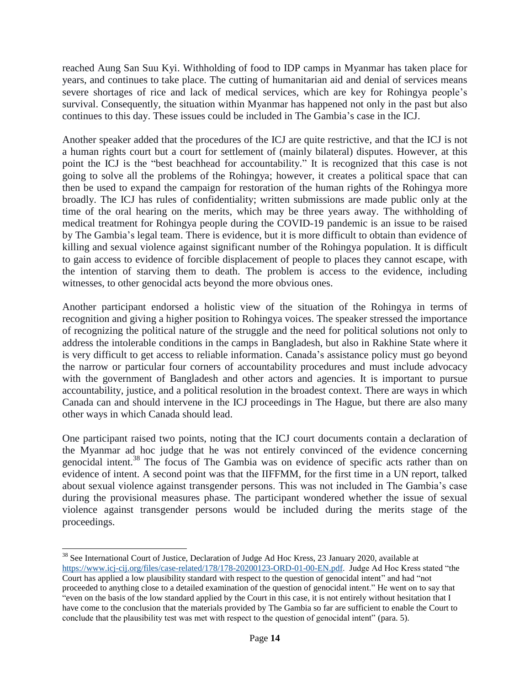reached Aung San Suu Kyi. Withholding of food to IDP camps in Myanmar has taken place for years, and continues to take place. The cutting of humanitarian aid and denial of services means severe shortages of rice and lack of medical services, which are key for Rohingya people's survival. Consequently, the situation within Myanmar has happened not only in the past but also continues to this day. These issues could be included in The Gambia's case in the ICJ.

Another speaker added that the procedures of the ICJ are quite restrictive, and that the ICJ is not a human rights court but a court for settlement of (mainly bilateral) disputes. However, at this point the ICJ is the "best beachhead for accountability." It is recognized that this case is not going to solve all the problems of the Rohingya; however, it creates a political space that can then be used to expand the campaign for restoration of the human rights of the Rohingya more broadly. The ICJ has rules of confidentiality; written submissions are made public only at the time of the oral hearing on the merits, which may be three years away. The withholding of medical treatment for Rohingya people during the COVID-19 pandemic is an issue to be raised by The Gambia's legal team. There is evidence, but it is more difficult to obtain than evidence of killing and sexual violence against significant number of the Rohingya population. It is difficult to gain access to evidence of forcible displacement of people to places they cannot escape, with the intention of starving them to death. The problem is access to the evidence, including witnesses, to other genocidal acts beyond the more obvious ones.

Another participant endorsed a holistic view of the situation of the Rohingya in terms of recognition and giving a higher position to Rohingya voices. The speaker stressed the importance of recognizing the political nature of the struggle and the need for political solutions not only to address the intolerable conditions in the camps in Bangladesh, but also in Rakhine State where it is very difficult to get access to reliable information. Canada's assistance policy must go beyond the narrow or particular four corners of accountability procedures and must include advocacy with the government of Bangladesh and other actors and agencies. It is important to pursue accountability, justice, and a political resolution in the broadest context. There are ways in which Canada can and should intervene in the ICJ proceedings in The Hague, but there are also many other ways in which Canada should lead.

One participant raised two points, noting that the ICJ court documents contain a declaration of the Myanmar ad hoc judge that he was not entirely convinced of the evidence concerning genocidal intent. <sup>38</sup> The focus of The Gambia was on evidence of specific acts rather than on evidence of intent. A second point was that the IIFFMM, for the first time in a UN report, talked about sexual violence against transgender persons. This was not included in The Gambia's case during the provisional measures phase. The participant wondered whether the issue of sexual violence against transgender persons would be included during the merits stage of the proceedings.

l <sup>38</sup> See International Court of Justice, Declaration of Judge Ad Hoc Kress, 23 January 2020, available at [https://www.icj-cij.org/files/case-related/178/178-20200123-ORD-01-00-EN.pdf.](https://www.icj-cij.org/files/case-related/178/178-20200123-ORD-01-00-EN.pdf) Judge Ad Hoc Kress stated "the

Court has applied a low plausibility standard with respect to the question of genocidal intent" and had "not proceeded to anything close to a detailed examination of the question of genocidal intent." He went on to say that "even on the basis of the low standard applied by the Court in this case, it is not entirely without hesitation that I have come to the conclusion that the materials provided by The Gambia so far are sufficient to enable the Court to conclude that the plausibility test was met with respect to the question of genocidal intent" (para. 5).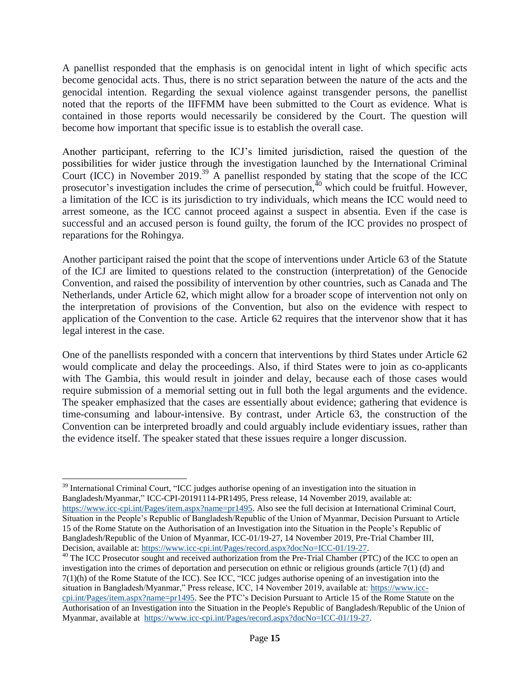A panellist responded that the emphasis is on genocidal intent in light of which specific acts become genocidal acts. Thus, there is no strict separation between the nature of the acts and the genocidal intention. Regarding the sexual violence against transgender persons, the panellist noted that the reports of the IIFFMM have been submitted to the Court as evidence. What is contained in those reports would necessarily be considered by the Court. The question will become how important that specific issue is to establish the overall case.

Another participant, referring to the ICJ's limited jurisdiction, raised the question of the possibilities for wider justice through the investigation launched by the International Criminal Court (ICC) in November 2019.<sup>39</sup> A panellist responded by stating that the scope of the ICC prosecutor's investigation includes the crime of persecution, $\frac{1}{40}$  which could be fruitful. However, a limitation of the ICC is its jurisdiction to try individuals, which means the ICC would need to arrest someone, as the ICC cannot proceed against a suspect in absentia. Even if the case is successful and an accused person is found guilty, the forum of the ICC provides no prospect of reparations for the Rohingya.

Another participant raised the point that the scope of interventions under Article 63 of the Statute of the ICJ are limited to questions related to the construction (interpretation) of the Genocide Convention, and raised the possibility of intervention by other countries, such as Canada and The Netherlands, under Article 62, which might allow for a broader scope of intervention not only on the interpretation of provisions of the Convention, but also on the evidence with respect to application of the Convention to the case. Article 62 requires that the intervenor show that it has legal interest in the case.

One of the panellists responded with a concern that interventions by third States under Article 62 would complicate and delay the proceedings. Also, if third States were to join as co-applicants with The Gambia, this would result in joinder and delay, because each of those cases would require submission of a memorial setting out in full both the legal arguments and the evidence. The speaker emphasized that the cases are essentially about evidence; gathering that evidence is time-consuming and labour-intensive. By contrast, under Article 63, the construction of the Convention can be interpreted broadly and could arguably include evidentiary issues, rather than the evidence itself. The speaker stated that these issues require a longer discussion.

l  $39$  International Criminal Court, "ICC judges authorise opening of an investigation into the situation in Bangladesh/Myanmar," ICC-CPI-20191114-PR1495, Press release, 14 November 2019, available at: [https://www.icc-cpi.int/Pages/item.aspx?name=pr1495.](https://www.icc-cpi.int/Pages/item.aspx?name=pr1495) Also see the full decision at International Criminal Court, Situation in the People's Republic of Bangladesh/Republic of the Union of Myanmar, Decision Pursuant to Article 15 of the Rome Statute on the Authorisation of an Investigation into the Situation in the People's Republic of Bangladesh/Republic of the Union of Myanmar, ICC-01/19-27, 14 November 2019, Pre-Trial Chamber III, Decision, available at: [https://www.icc-cpi.int/Pages/record.aspx?docNo=ICC-01/19-27.](https://www.icc-cpi.int/Pages/record.aspx?docNo=ICC-01/19-27)

<sup>40</sup> The ICC Prosecutor sought and received authorization from the Pre-Trial Chamber (PTC) of the ICC to open an investigation into the crimes of deportation and persecution on ethnic or religious grounds (article 7(1) (d) and 7(1)(h) of the Rome Statute of the ICC). See ICC, "ICC judges authorise opening of an investigation into the situation in Bangladesh/Myanmar," Press release, ICC, 14 November 2019, available at: [https://www.icc](https://www.icc-cpi.int/Pages/item.aspx?name=pr1495)[cpi.int/Pages/item.aspx?name=pr1495.](https://www.icc-cpi.int/Pages/item.aspx?name=pr1495) See the PTC's Decision Pursuant to Article 15 of the Rome Statute on the Authorisation of an Investigation into the Situation in the People's Republic of Bangladesh/Republic of the Union of Myanmar, available at [https://www.icc-cpi.int/Pages/record.aspx?docNo=ICC-01/19-27.](https://www.icc-cpi.int/Pages/record.aspx?docNo=ICC-01/19-27)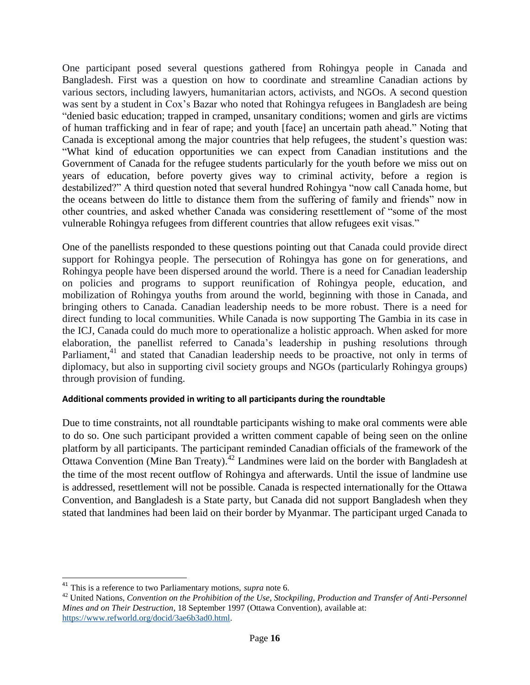One participant posed several questions gathered from Rohingya people in Canada and Bangladesh. First was a question on how to coordinate and streamline Canadian actions by various sectors, including lawyers, humanitarian actors, activists, and NGOs. A second question was sent by a student in Cox's Bazar who noted that Rohingya refugees in Bangladesh are being "denied basic education; trapped in cramped, unsanitary conditions; women and girls are victims of human trafficking and in fear of rape; and youth [face] an uncertain path ahead." Noting that Canada is exceptional among the major countries that help refugees, the student's question was: "What kind of education opportunities we can expect from Canadian institutions and the Government of Canada for the refugee students particularly for the youth before we miss out on years of education, before poverty gives way to criminal activity, before a region is destabilized?" A third question noted that several hundred Rohingya "now call Canada home, but the oceans between do little to distance them from the suffering of family and friends" now in other countries, and asked whether Canada was considering resettlement of "some of the most vulnerable Rohingya refugees from different countries that allow refugees exit visas."

One of the panellists responded to these questions pointing out that Canada could provide direct support for Rohingya people. The persecution of Rohingya has gone on for generations, and Rohingya people have been dispersed around the world. There is a need for Canadian leadership on policies and programs to support reunification of Rohingya people, education, and mobilization of Rohingya youths from around the world, beginning with those in Canada, and bringing others to Canada. Canadian leadership needs to be more robust. There is a need for direct funding to local communities. While Canada is now supporting The Gambia in its case in the ICJ, Canada could do much more to operationalize a holistic approach. When asked for more elaboration, the panellist referred to Canada's leadership in pushing resolutions through Parliament, $41$  and stated that Canadian leadership needs to be proactive, not only in terms of diplomacy, but also in supporting civil society groups and NGOs (particularly Rohingya groups) through provision of funding.

## <span id="page-19-0"></span>**Additional comments provided in writing to all participants during the roundtable**

Due to time constraints, not all roundtable participants wishing to make oral comments were able to do so. One such participant provided a written comment capable of being seen on the online platform by all participants. The participant reminded Canadian officials of the framework of the Ottawa Convention (Mine Ban Treaty).<sup>42</sup> Landmines were laid on the border with Bangladesh at the time of the most recent outflow of Rohingya and afterwards. Until the issue of landmine use is addressed, resettlement will not be possible. Canada is respected internationally for the Ottawa Convention, and Bangladesh is a State party, but Canada did not support Bangladesh when they stated that landmines had been laid on their border by Myanmar. The participant urged Canada to

l

<sup>41</sup> This is a reference to two Parliamentary motions, *supra* note 6.

<sup>42</sup> United Nations, *Convention on the Prohibition of the Use, Stockpiling, Production and Transfer of Anti-Personnel Mines and on Their Destruction*, 18 September 1997 (Ottawa Convention), available at: [https://www.refworld.org/docid/3ae6b3ad0.html.](https://www.refworld.org/docid/3ae6b3ad0.html)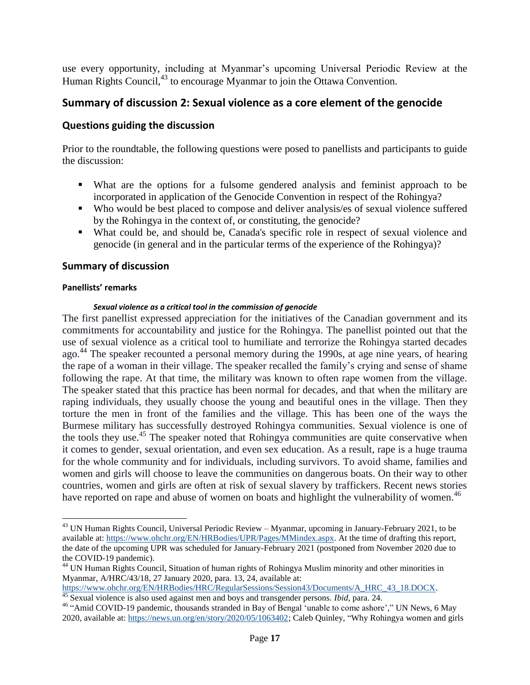use every opportunity, including at Myanmar's upcoming Universal Periodic Review at the Human Rights Council,<sup>43</sup> to encourage Myanmar to join the Ottawa Convention.

## <span id="page-20-0"></span>**Summary of discussion 2: Sexual violence as a core element of the genocide**

#### <span id="page-20-1"></span>**Questions guiding the discussion**

Prior to the roundtable, the following questions were posed to panellists and participants to guide the discussion:

- What are the options for a fulsome gendered analysis and feminist approach to be incorporated in application of the Genocide Convention in respect of the Rohingya?
- Who would be best placed to compose and deliver analysis/es of sexual violence suffered by the Rohingya in the context of, or constituting, the genocide?
- What could be, and should be, Canada's specific role in respect of sexual violence and genocide (in general and in the particular terms of the experience of the Rohingya)?

#### <span id="page-20-2"></span>**Summary of discussion**

#### <span id="page-20-3"></span>**Panellists' remarks**

 $\overline{a}$ 

#### *Sexual violence as a critical tool in the commission of genocide*

The first panellist expressed appreciation for the initiatives of the Canadian government and its commitments for accountability and justice for the Rohingya. The panellist pointed out that the use of sexual violence as a critical tool to humiliate and terrorize the Rohingya started decades ago.<sup>44</sup> The speaker recounted a personal memory during the 1990s, at age nine years, of hearing the rape of a woman in their village. The speaker recalled the family's crying and sense of shame following the rape. At that time, the military was known to often rape women from the village. The speaker stated that this practice has been normal for decades, and that when the military are raping individuals, they usually choose the young and beautiful ones in the village. Then they torture the men in front of the families and the village. This has been one of the ways the Burmese military has successfully destroyed Rohingya communities. Sexual violence is one of the tools they use.<sup>45</sup> The speaker noted that Rohingya communities are quite conservative when it comes to gender, sexual orientation, and even sex education. As a result, rape is a huge trauma for the whole community and for individuals, including survivors. To avoid shame, families and women and girls will choose to leave the communities on dangerous boats. On their way to other countries, women and girls are often at risk of sexual slavery by traffickers. Recent news stories have reported on rape and abuse of women on boats and highlight the vulnerability of women.<sup>46</sup>

[https://www.ohchr.org/EN/HRBodies/HRC/RegularSessions/Session43/Documents/A\\_HRC\\_43\\_18.DOCX.](https://www.ohchr.org/EN/HRBodies/HRC/RegularSessions/Session43/Documents/A_HRC_43_18.DOCX) <sup>45</sup> Sexual violence is also used against men and boys and transgender persons. *Ibid*, para. 24.

<sup>&</sup>lt;sup>43</sup> UN Human Rights Council, Universal Periodic Review – Myanmar, upcoming in January-February 2021, to be available at: [https://www.ohchr.org/EN/HRBodies/UPR/Pages/MMindex.aspx.](https://www.ohchr.org/EN/HRBodies/UPR/Pages/MMindex.aspx) At the time of drafting this report, the date of the upcoming UPR was scheduled for January-February 2021 (postponed from November 2020 due to the COVID-19 pandemic).

<sup>&</sup>lt;sup>44</sup> UN Human Rights Council, Situation of human rights of Rohingya Muslim minority and other minorities in Myanmar, A/HRC/43/18, 27 January 2020, para. 13, 24, available at:

<sup>&</sup>lt;sup>46</sup> "Amid COVID-19 pandemic, thousands stranded in Bay of Bengal 'unable to come ashore'," UN News, 6 May 2020, available at: [https://news.un.org/en/story/2020/05/1063402;](https://news.un.org/en/story/2020/05/1063402) Caleb Quinley, "Why Rohingya women and girls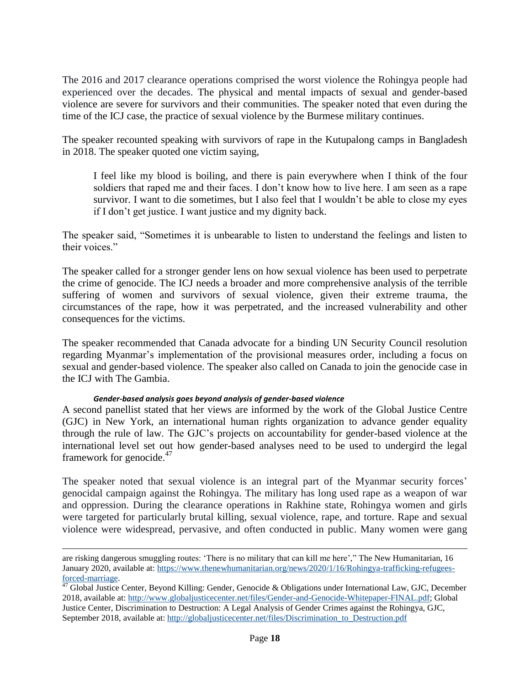The 2016 and 2017 clearance operations comprised the worst violence the Rohingya people had experienced over the decades. The physical and mental impacts of sexual and gender-based violence are severe for survivors and their communities. The speaker noted that even during the time of the ICJ case, the practice of sexual violence by the Burmese military continues.

The speaker recounted speaking with survivors of rape in the Kutupalong camps in Bangladesh in 2018. The speaker quoted one victim saying,

I feel like my blood is boiling, and there is pain everywhere when I think of the four soldiers that raped me and their faces. I don't know how to live here. I am seen as a rape survivor. I want to die sometimes, but I also feel that I wouldn't be able to close my eyes if I don't get justice. I want justice and my dignity back.

The speaker said, "Sometimes it is unbearable to listen to understand the feelings and listen to their voices."

The speaker called for a stronger gender lens on how sexual violence has been used to perpetrate the crime of genocide. The ICJ needs a broader and more comprehensive analysis of the terrible suffering of women and survivors of sexual violence, given their extreme trauma, the circumstances of the rape, how it was perpetrated, and the increased vulnerability and other consequences for the victims.

The speaker recommended that Canada advocate for a binding UN Security Council resolution regarding Myanmar's implementation of the provisional measures order, including a focus on sexual and gender-based violence. The speaker also called on Canada to join the genocide case in the ICJ with The Gambia.

#### *Gender-based analysis goes beyond analysis of gender-based violence*

l

A second panellist stated that her views are informed by the work of the Global Justice Centre (GJC) in New York, an international human rights organization to advance gender equality through the rule of law. The GJC's projects on accountability for gender-based violence at the international level set out how gender-based analyses need to be used to undergird the legal framework for genocide.<sup>47</sup>

The speaker noted that sexual violence is an integral part of the Myanmar security forces' genocidal campaign against the Rohingya. The military has long used rape as a weapon of war and oppression. During the clearance operations in Rakhine state, Rohingya women and girls were targeted for particularly brutal killing, sexual violence, rape, and torture. Rape and sexual violence were widespread, pervasive, and often conducted in public. Many women were gang

are risking dangerous smuggling routes: 'There is no military that can kill me here'," The New Humanitarian, 16 January 2020, available at[: https://www.thenewhumanitarian.org/news/2020/1/16/Rohingya-trafficking-refugees](https://www.thenewhumanitarian.org/news/2020/1/16/Rohingya-trafficking-refugees-forced-marriage)[forced-marriage.](https://www.thenewhumanitarian.org/news/2020/1/16/Rohingya-trafficking-refugees-forced-marriage) 

<sup>&</sup>lt;sup>47</sup> Global Justice Center, Beyond Killing: Gender, Genocide & Obligations under International Law, GJC, December 2018, available at: [http://www.globaljusticecenter.net/files/Gender-and-Genocide-Whitepaper-FINAL.pdf;](http://www.globaljusticecenter.net/files/Gender-and-Genocide-Whitepaper-FINAL.pdf) Global Justice Center, Discrimination to Destruction: A Legal Analysis of Gender Crimes against the Rohingya, GJC, September 2018, available at: [http://globaljusticecenter.net/files/Discrimination\\_to\\_Destruction.pdf](http://globaljusticecenter.net/files/Discrimination_to_Destruction.pdf)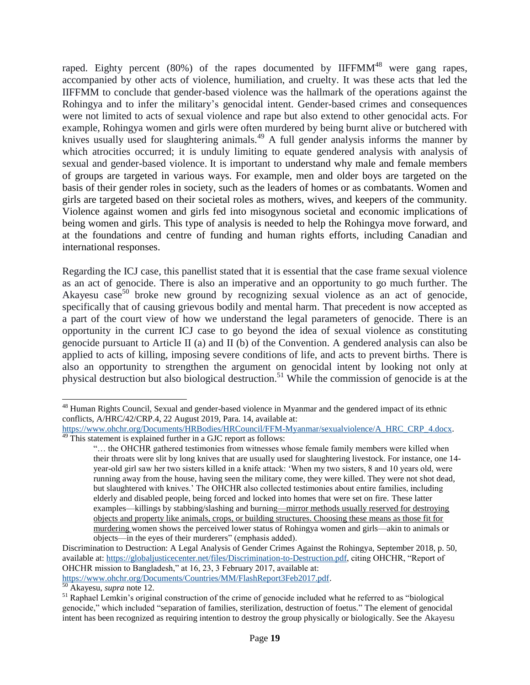raped. Eighty percent  $(80\%)$  of the rapes documented by IIFFMM<sup>48</sup> were gang rapes, accompanied by other acts of violence, humiliation, and cruelty. It was these acts that led the IIFFMM to conclude that gender-based violence was the hallmark of the operations against the Rohingya and to infer the military's genocidal intent. Gender-based crimes and consequences were not limited to acts of sexual violence and rape but also extend to other genocidal acts. For example, Rohingya women and girls were often murdered by being burnt alive or butchered with knives usually used for slaughtering animals.<sup>49</sup> A full gender analysis informs the manner by which atrocities occurred; it is unduly limiting to equate gendered analysis with analysis of sexual and gender-based violence. It is important to understand why male and female members of groups are targeted in various ways. For example, men and older boys are targeted on the basis of their gender roles in society, such as the leaders of homes or as combatants. Women and girls are targeted based on their societal roles as mothers, wives, and keepers of the community. Violence against women and girls fed into misogynous societal and economic implications of being women and girls. This type of analysis is needed to help the Rohingya move forward, and at the foundations and centre of funding and human rights efforts, including Canadian and international responses.

Regarding the ICJ case, this panellist stated that it is essential that the case frame sexual violence as an act of genocide. There is also an imperative and an opportunity to go much further. The Akayesu case<sup>50</sup> broke new ground by recognizing sexual violence as an act of genocide, specifically that of causing grievous bodily and mental harm. That precedent is now accepted as a part of the court view of how we understand the legal parameters of genocide. There is an opportunity in the current ICJ case to go beyond the idea of sexual violence as constituting genocide pursuant to Article II (a) and II (b) of the Convention. A gendered analysis can also be applied to acts of killing, imposing severe conditions of life, and acts to prevent births. There is also an opportunity to strengthen the argument on genocidal intent by looking not only at physical destruction but also biological destruction.<sup>51</sup> While the commission of genocide is at the

 $\overline{a}$ <sup>48</sup> Human Rights Council, Sexual and gender-based violence in Myanmar and the gendered impact of its ethnic conflicts, A/HRC/42/CRP.4, 22 August 2019, Para. 14, available at:

[https://www.ohchr.org/Documents/HRBodies/HRCouncil/FFM-Myanmar/sexualviolence/A\\_HRC\\_CRP\\_4.docx.](https://www.ohchr.org/Documents/HRBodies/HRCouncil/FFM-Myanmar/sexualviolence/A_HRC_CRP_4.docx)  $\frac{49}{49}$  This statement is explained further in a GJC report as follows:

<sup>&</sup>quot;… the OHCHR gathered testimonies from witnesses whose female family members were killed when their throats were slit by long knives that are usually used for slaughtering livestock. For instance, one 14 year-old girl saw her two sisters killed in a knife attack: 'When my two sisters, 8 and 10 years old, were running away from the house, having seen the military come, they were killed. They were not shot dead, but slaughtered with knives.' The OHCHR also collected testimonies about entire families, including elderly and disabled people, being forced and locked into homes that were set on fire. These latter examples—killings by stabbing/slashing and burning—mirror methods usually reserved for destroying objects and property like animals, crops, or building structures. Choosing these means as those fit for murdering women shows the perceived lower status of Rohingya women and girls—akin to animals or objects—in the eyes of their murderers" (emphasis added).

Discrimination to Destruction: A Legal Analysis of Gender Crimes Against the Rohingya, September 2018, p. 50, available at: [https://globaljusticecenter.net/files/Discrimination-to-Destruction.pdf,](https://globaljusticecenter.net/files/Discrimination-to-Destruction.pdf) citing OHCHR, "Report of OHCHR mission to Bangladesh," at 16, 23, 3 February 2017, available at: [https://www.ohchr.org/Documents/Countries/MM/FlashReport3Feb2017.pdf.](https://www.ohchr.org/Documents/Countries/MM/FlashReport3Feb2017.pdf)

<sup>50</sup> Akayesu, *supra* note 12.

<sup>51</sup> Raphael Lemkin's original construction of the crime of genocide included what he referred to as "biological genocide," which included "separation of families, sterilization, destruction of foetus." The element of genocidal intent has been recognized as requiring intention to destroy the group physically or biologically. See the Akayesu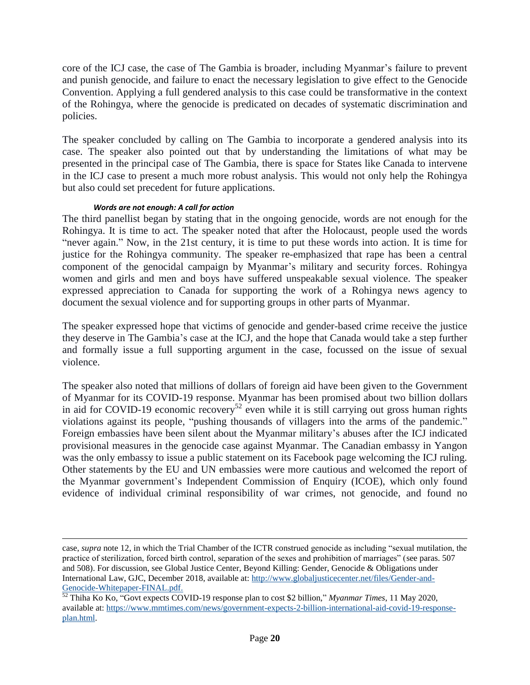core of the ICJ case, the case of The Gambia is broader, including Myanmar's failure to prevent and punish genocide, and failure to enact the necessary legislation to give effect to the Genocide Convention. Applying a full gendered analysis to this case could be transformative in the context of the Rohingya, where the genocide is predicated on decades of systematic discrimination and policies.

The speaker concluded by calling on The Gambia to incorporate a gendered analysis into its case. The speaker also pointed out that by understanding the limitations of what may be presented in the principal case of The Gambia, there is space for States like Canada to intervene in the ICJ case to present a much more robust analysis. This would not only help the Rohingya but also could set precedent for future applications.

#### *Words are not enough: A call for action*

l

The third panellist began by stating that in the ongoing genocide, words are not enough for the Rohingya. It is time to act. The speaker noted that after the Holocaust, people used the words "never again." Now, in the 21st century, it is time to put these words into action. It is time for justice for the Rohingya community. The speaker re-emphasized that rape has been a central component of the genocidal campaign by Myanmar's military and security forces. Rohingya women and girls and men and boys have suffered unspeakable sexual violence. The speaker expressed appreciation to Canada for supporting the work of a Rohingya news agency to document the sexual violence and for supporting groups in other parts of Myanmar.

The speaker expressed hope that victims of genocide and gender-based crime receive the justice they deserve in The Gambia's case at the ICJ, and the hope that Canada would take a step further and formally issue a full supporting argument in the case, focussed on the issue of sexual violence.

The speaker also noted that millions of dollars of foreign aid have been given to the Government of Myanmar for its COVID-19 response. Myanmar has been promised about two billion dollars in aid for COVID-19 economic recovery<sup>52</sup> even while it is still carrying out gross human rights violations against its people, "pushing thousands of villagers into the arms of the pandemic." Foreign embassies have been silent about the Myanmar military's abuses after the ICJ indicated provisional measures in the genocide case against Myanmar. The Canadian embassy in Yangon was the only embassy to issue a public statement on its Facebook page welcoming the ICJ ruling. Other statements by the EU and UN embassies were more cautious and welcomed the report of the Myanmar government's Independent Commission of Enquiry (ICOE), which only found evidence of individual criminal responsibility of war crimes, not genocide, and found no

case, *supra* note 12, in which the Trial Chamber of the ICTR construed genocide as including "sexual mutilation, the practice of sterilization, forced birth control, separation of the sexes and prohibition of marriages" (see paras. 507 and 508). For discussion, see Global Justice Center, Beyond Killing: Gender, Genocide & Obligations under International Law, GJC, December 2018, available at: [http://www.globaljusticecenter.net/files/Gender-and-](http://www.globaljusticecenter.net/files/Gender-and-Genocide-Whitepaper-FINAL.pdf)[Genocide-Whitepaper-FINAL.pdf.](http://www.globaljusticecenter.net/files/Gender-and-Genocide-Whitepaper-FINAL.pdf)

<sup>52</sup> Thiha Ko Ko, "Govt expects COVID-19 response plan to cost \$2 billion," *Myanmar Times*, 11 May 2020, available at: [https://www.mmtimes.com/news/government-expects-2-billion-international-aid-covid-19-response](https://www.mmtimes.com/news/government-expects-2-billion-international-aid-covid-19-response-plan.html)[plan.html.](https://www.mmtimes.com/news/government-expects-2-billion-international-aid-covid-19-response-plan.html)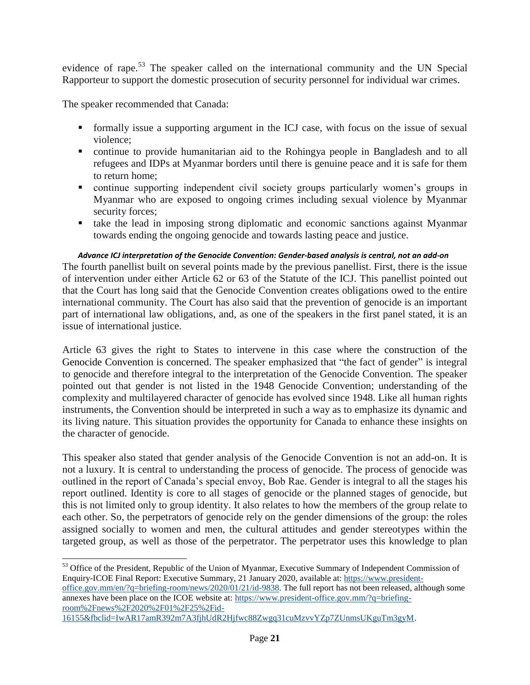evidence of rape.<sup>53</sup> The speaker called on the international community and the UN Special Rapporteur to support the domestic prosecution of security personnel for individual war crimes.

The speaker recommended that Canada:

- formally issue a supporting argument in the ICJ case, with focus on the issue of sexual violence;
- continue to provide humanitarian aid to the Rohingya people in Bangladesh and to all refugees and IDPs at Myanmar borders until there is genuine peace and it is safe for them to return home;
- continue supporting independent civil society groups particularly women's groups in Myanmar who are exposed to ongoing crimes including sexual violence by Myanmar security forces;
- take the lead in imposing strong diplomatic and economic sanctions against Myanmar towards ending the ongoing genocide and towards lasting peace and justice.

*Advance ICJ interpretation of the Genocide Convention: Gender-based analysis is central, not an add-on*

The fourth panellist built on several points made by the previous panellist. First, there is the issue of intervention under either Article 62 or 63 of the Statute of the ICJ. This panellist pointed out that the Court has long said that the Genocide Convention creates obligations owed to the entire international community. The Court has also said that the prevention of genocide is an important part of international law obligations, and, as one of the speakers in the first panel stated, it is an issue of international justice.

Article 63 gives the right to States to intervene in this case where the construction of the Genocide Convention is concerned. The speaker emphasized that "the fact of gender" is integral to genocide and therefore integral to the interpretation of the Genocide Convention. The speaker pointed out that gender is not listed in the 1948 Genocide Convention; understanding of the complexity and multilayered character of genocide has evolved since 1948. Like all human rights instruments, the Convention should be interpreted in such a way as to emphasize its dynamic and its living nature. This situation provides the opportunity for Canada to enhance these insights on the character of genocide.

This speaker also stated that gender analysis of the Genocide Convention is not an add-on. It is not a luxury. It is central to understanding the process of genocide. The process of genocide was outlined in the report of Canada's special envoy, Bob Rae. Gender is integral to all the stages his report outlined. Identity is core to all stages of genocide or the planned stages of genocide, but this is not limited only to group identity. It also relates to how the members of the group relate to each other. So, the perpetrators of genocide rely on the gender dimensions of the group: the roles assigned socially to women and men, the cultural attitudes and gender stereotypes within the targeted group, as well as those of the perpetrator. The perpetrator uses this knowledge to plan

l <sup>53</sup> Office of the President, Republic of the Union of Myanmar, Executive Summary of Independent Commission of Enquiry-ICOE Final Report: Executive Summary, 21 January 2020, available at: [https://www.president-](https://www.president-office.gov.mm/en/?q=briefing-room/news/2020/01/21/id-9838)

[office.gov.mm/en/?q=briefing-room/news/2020/01/21/id-9838.](https://www.president-office.gov.mm/en/?q=briefing-room/news/2020/01/21/id-9838) The full report has not been released, although some annexes have been place on the ICOE website at: [https://www.president-office.gov.mm/?q=briefing](https://www.president-office.gov.mm/?q=briefing-room%2Fnews%2F2020%2F01%2F25%2Fid-16155&fbclid=IwAR17amR392m7A3fjhUdR2Hjfwc88Zwgq31cuMzvvYZp7ZUnmsUKguTm3gyM)[room%2Fnews%2F2020%2F01%2F25%2Fid-](https://www.president-office.gov.mm/?q=briefing-room%2Fnews%2F2020%2F01%2F25%2Fid-16155&fbclid=IwAR17amR392m7A3fjhUdR2Hjfwc88Zwgq31cuMzvvYZp7ZUnmsUKguTm3gyM)

[<sup>16155&</sup>amp;fbclid=IwAR17amR392m7A3fjhUdR2Hjfwc88Zwgq31cuMzvvYZp7ZUnmsUKguTm3gyM.](https://www.president-office.gov.mm/?q=briefing-room%2Fnews%2F2020%2F01%2F25%2Fid-16155&fbclid=IwAR17amR392m7A3fjhUdR2Hjfwc88Zwgq31cuMzvvYZp7ZUnmsUKguTm3gyM)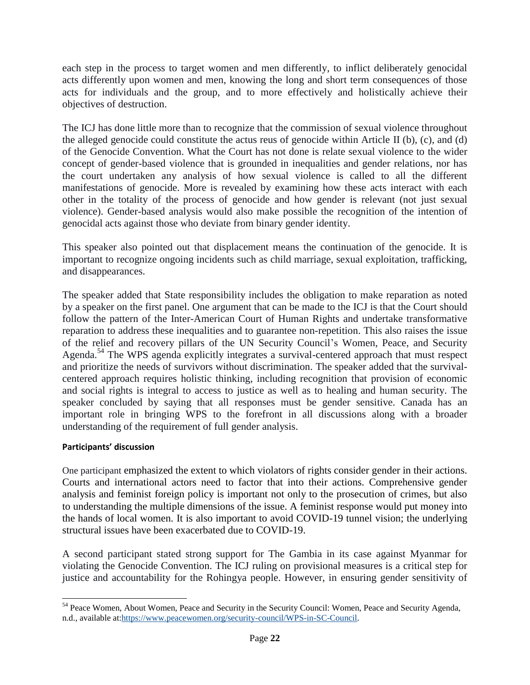each step in the process to target women and men differently, to inflict deliberately genocidal acts differently upon women and men, knowing the long and short term consequences of those acts for individuals and the group, and to more effectively and holistically achieve their objectives of destruction.

The ICJ has done little more than to recognize that the commission of sexual violence throughout the alleged genocide could constitute the actus reus of genocide within Article II (b), (c), and (d) of the Genocide Convention. What the Court has not done is relate sexual violence to the wider concept of gender-based violence that is grounded in inequalities and gender relations, nor has the court undertaken any analysis of how sexual violence is called to all the different manifestations of genocide. More is revealed by examining how these acts interact with each other in the totality of the process of genocide and how gender is relevant (not just sexual violence). Gender-based analysis would also make possible the recognition of the intention of genocidal acts against those who deviate from binary gender identity.

This speaker also pointed out that displacement means the continuation of the genocide. It is important to recognize ongoing incidents such as child marriage, sexual exploitation, trafficking, and disappearances.

The speaker added that State responsibility includes the obligation to make reparation as noted by a speaker on the first panel. One argument that can be made to the ICJ is that the Court should follow the pattern of the Inter-American Court of Human Rights and undertake transformative reparation to address these inequalities and to guarantee non-repetition. This also raises the issue of the relief and recovery pillars of the UN Security Council's Women, Peace, and Security Agenda.<sup>54</sup> The WPS agenda explicitly integrates a survival-centered approach that must respect and prioritize the needs of survivors without discrimination. The speaker added that the survivalcentered approach requires holistic thinking, including recognition that provision of economic and social rights is integral to access to justice as well as to healing and human security. The speaker concluded by saying that all responses must be gender sensitive. Canada has an important role in bringing WPS to the forefront in all discussions along with a broader understanding of the requirement of full gender analysis.

## <span id="page-25-0"></span>**Participants' discussion**

One participant emphasized the extent to which violators of rights consider gender in their actions. Courts and international actors need to factor that into their actions. Comprehensive gender analysis and feminist foreign policy is important not only to the prosecution of crimes, but also to understanding the multiple dimensions of the issue. A feminist response would put money into the hands of local women. It is also important to avoid COVID-19 tunnel vision; the underlying structural issues have been exacerbated due to COVID-19.

A second participant stated strong support for The Gambia in its case against Myanmar for violating the Genocide Convention. The ICJ ruling on provisional measures is a critical step for justice and accountability for the Rohingya people. However, in ensuring gender sensitivity of

l <sup>54</sup> Peace Women, About Women, Peace and Security in the Security Council: Women, Peace and Security Agenda, n.d., available at[:https://www.peacewomen.org/security-council/WPS-in-SC-Council.](https://www.peacewomen.org/security-council/WPS-in-SC-Council)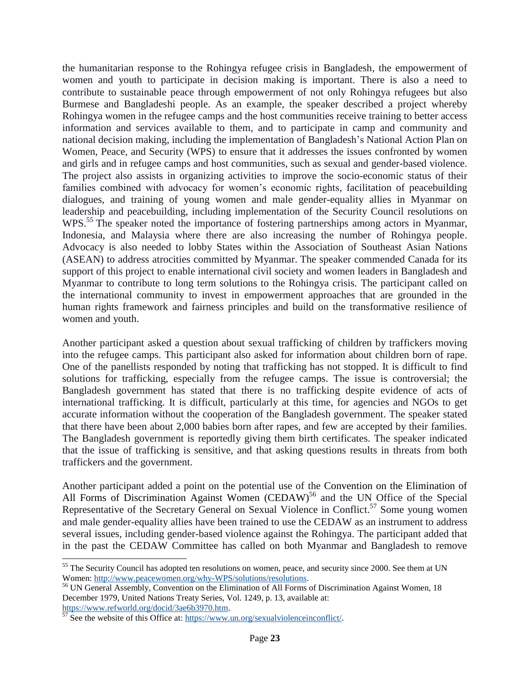the humanitarian response to the Rohingya refugee crisis in Bangladesh, the empowerment of women and youth to participate in decision making is important. There is also a need to contribute to sustainable peace through empowerment of not only Rohingya refugees but also Burmese and Bangladeshi people. As an example, the speaker described a project whereby Rohingya women in the refugee camps and the host communities receive training to better access information and services available to them, and to participate in camp and community and national decision making, including the implementation of Bangladesh's National Action Plan on Women, Peace, and Security (WPS) to ensure that it addresses the issues confronted by women and girls and in refugee camps and host communities, such as sexual and gender-based violence. The project also assists in organizing activities to improve the socio-economic status of their families combined with advocacy for women's economic rights, facilitation of peacebuilding dialogues, and training of young women and male gender-equality allies in Myanmar on leadership and peacebuilding, including implementation of the Security Council resolutions on WPS.<sup>55</sup> The speaker noted the importance of fostering partnerships among actors in Myanmar, Indonesia, and Malaysia where there are also increasing the number of Rohingya people. Advocacy is also needed to lobby States within the Association of Southeast Asian Nations (ASEAN) to address atrocities committed by Myanmar. The speaker commended Canada for its support of this project to enable international civil society and women leaders in Bangladesh and Myanmar to contribute to long term solutions to the Rohingya crisis. The participant called on the international community to invest in empowerment approaches that are grounded in the human rights framework and fairness principles and build on the transformative resilience of women and youth.

Another participant asked a question about sexual trafficking of children by traffickers moving into the refugee camps. This participant also asked for information about children born of rape. One of the panellists responded by noting that trafficking has not stopped. It is difficult to find solutions for trafficking, especially from the refugee camps. The issue is controversial; the Bangladesh government has stated that there is no trafficking despite evidence of acts of international trafficking. It is difficult, particularly at this time, for agencies and NGOs to get accurate information without the cooperation of the Bangladesh government. The speaker stated that there have been about 2,000 babies born after rapes, and few are accepted by their families. The Bangladesh government is reportedly giving them birth certificates. The speaker indicated that the issue of trafficking is sensitive, and that asking questions results in threats from both traffickers and the government.

Another participant added a point on the potential use of the Convention on the Elimination of All Forms of Discrimination Against Women  $(CEDAW)^{56}$  and the UN Office of the Special Representative of the Secretary General on Sexual Violence in Conflict.<sup>57</sup> Some young women and male gender-equality allies have been trained to use the CEDAW as an instrument to address several issues, including gender-based violence against the Rohingya. The participant added that in the past the CEDAW Committee has called on both Myanmar and Bangladesh to remove

l <sup>55</sup> The Security Council has adopted ten resolutions on women, peace, and security since 2000. See them at UN Women: [http://www.peacewomen.org/why-WPS/solutions/resolutions.](http://www.peacewomen.org/why-WPS/solutions/resolutions) 

<sup>&</sup>lt;sup>56</sup> UN General Assembly, Convention on the Elimination of All Forms of Discrimination Against Women, 18 December 1979, United Nations Treaty Series, Vol. 1249, p. 13, available at: [https://www.refworld.org/docid/3ae6b3970.htm.](https://www.refworld.org/docid/3ae6b3970.htm)

 $57$  See the website of this Office at: [https://www.un.org/sexualviolenceinconflict/.](https://www.un.org/sexualviolenceinconflict/)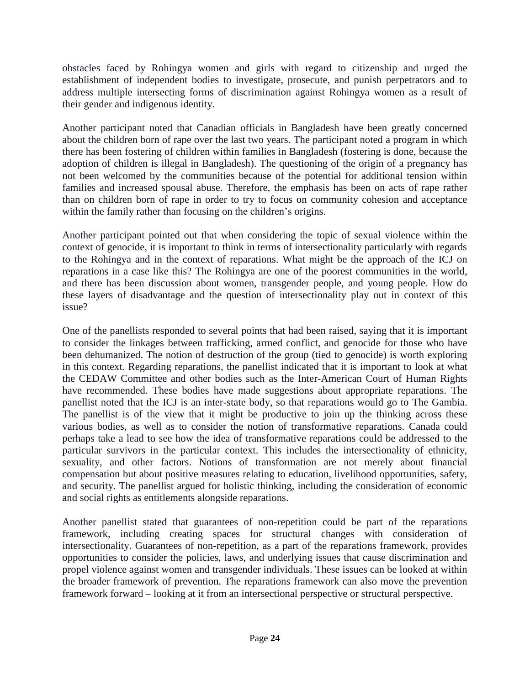obstacles faced by Rohingya women and girls with regard to citizenship and urged the establishment of independent bodies to investigate, prosecute, and punish perpetrators and to address multiple intersecting forms of discrimination against Rohingya women as a result of their gender and indigenous identity.

Another participant noted that Canadian officials in Bangladesh have been greatly concerned about the children born of rape over the last two years. The participant noted a program in which there has been fostering of children within families in Bangladesh (fostering is done, because the adoption of children is illegal in Bangladesh). The questioning of the origin of a pregnancy has not been welcomed by the communities because of the potential for additional tension within families and increased spousal abuse. Therefore, the emphasis has been on acts of rape rather than on children born of rape in order to try to focus on community cohesion and acceptance within the family rather than focusing on the children's origins.

Another participant pointed out that when considering the topic of sexual violence within the context of genocide, it is important to think in terms of intersectionality particularly with regards to the Rohingya and in the context of reparations. What might be the approach of the ICJ on reparations in a case like this? The Rohingya are one of the poorest communities in the world, and there has been discussion about women, transgender people, and young people. How do these layers of disadvantage and the question of intersectionality play out in context of this issue?

One of the panellists responded to several points that had been raised, saying that it is important to consider the linkages between trafficking, armed conflict, and genocide for those who have been dehumanized. The notion of destruction of the group (tied to genocide) is worth exploring in this context. Regarding reparations, the panellist indicated that it is important to look at what the CEDAW Committee and other bodies such as the Inter-American Court of Human Rights have recommended. These bodies have made suggestions about appropriate reparations. The panellist noted that the ICJ is an inter-state body, so that reparations would go to The Gambia. The panellist is of the view that it might be productive to join up the thinking across these various bodies, as well as to consider the notion of transformative reparations. Canada could perhaps take a lead to see how the idea of transformative reparations could be addressed to the particular survivors in the particular context. This includes the intersectionality of ethnicity, sexuality, and other factors. Notions of transformation are not merely about financial compensation but about positive measures relating to education, livelihood opportunities, safety, and security. The panellist argued for holistic thinking, including the consideration of economic and social rights as entitlements alongside reparations.

Another panellist stated that guarantees of non-repetition could be part of the reparations framework, including creating spaces for structural changes with consideration of intersectionality. Guarantees of non-repetition, as a part of the reparations framework, provides opportunities to consider the policies, laws, and underlying issues that cause discrimination and propel violence against women and transgender individuals. These issues can be looked at within the broader framework of prevention. The reparations framework can also move the prevention framework forward – looking at it from an intersectional perspective or structural perspective.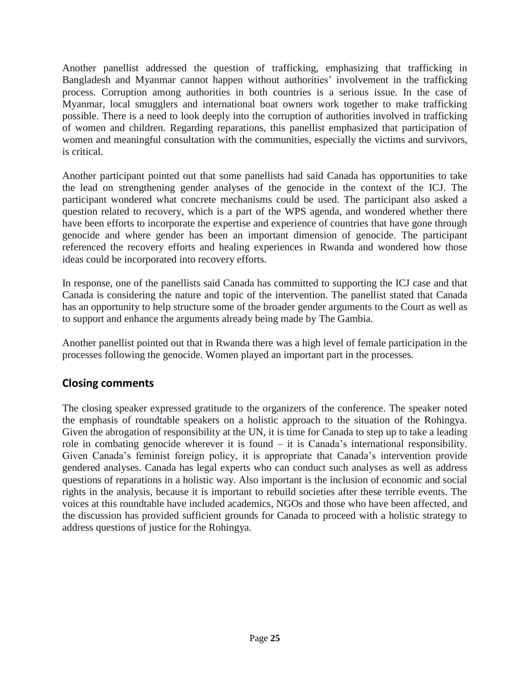Another panellist addressed the question of trafficking, emphasizing that trafficking in Bangladesh and Myanmar cannot happen without authorities' involvement in the trafficking process. Corruption among authorities in both countries is a serious issue. In the case of Myanmar, local smugglers and international boat owners work together to make trafficking possible. There is a need to look deeply into the corruption of authorities involved in trafficking of women and children. Regarding reparations, this panellist emphasized that participation of women and meaningful consultation with the communities, especially the victims and survivors, is critical.

Another participant pointed out that some panellists had said Canada has opportunities to take the lead on strengthening gender analyses of the genocide in the context of the ICJ. The participant wondered what concrete mechanisms could be used. The participant also asked a question related to recovery, which is a part of the WPS agenda, and wondered whether there have been efforts to incorporate the expertise and experience of countries that have gone through genocide and where gender has been an important dimension of genocide. The participant referenced the recovery efforts and healing experiences in Rwanda and wondered how those ideas could be incorporated into recovery efforts.

In response, one of the panellists said Canada has committed to supporting the ICJ case and that Canada is considering the nature and topic of the intervention. The panellist stated that Canada has an opportunity to help structure some of the broader gender arguments to the Court as well as to support and enhance the arguments already being made by The Gambia.

Another panellist pointed out that in Rwanda there was a high level of female participation in the processes following the genocide. Women played an important part in the processes.

# <span id="page-28-0"></span>**Closing comments**

The closing speaker expressed gratitude to the organizers of the conference. The speaker noted the emphasis of roundtable speakers on a holistic approach to the situation of the Rohingya. Given the abrogation of responsibility at the UN, it is time for Canada to step up to take a leading role in combating genocide wherever it is found – it is Canada's international responsibility. Given Canada's feminist foreign policy, it is appropriate that Canada's intervention provide gendered analyses. Canada has legal experts who can conduct such analyses as well as address questions of reparations in a holistic way. Also important is the inclusion of economic and social rights in the analysis, because it is important to rebuild societies after these terrible events. The voices at this roundtable have included academics, NGOs and those who have been affected, and the discussion has provided sufficient grounds for Canada to proceed with a holistic strategy to address questions of justice for the Rohingya.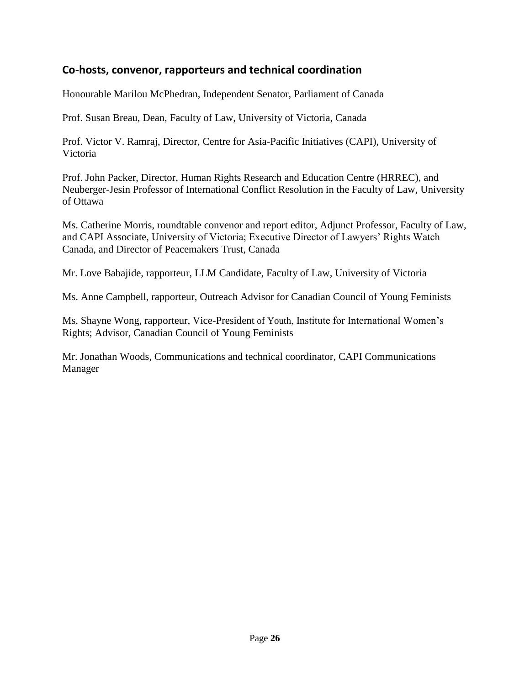# <span id="page-29-0"></span>**Co-hosts, convenor, rapporteurs and technical coordination**

Honourable Marilou McPhedran, Independent Senator, Parliament of Canada

Prof. Susan Breau, Dean, Faculty of Law, University of Victoria, Canada

Prof. Victor V. Ramraj, Director, Centre for Asia-Pacific Initiatives (CAPI), University of Victoria

Prof. John Packer, Director, Human Rights Research and Education Centre (HRREC), and Neuberger-Jesin Professor of International Conflict Resolution in the Faculty of Law, University of Ottawa

Ms. Catherine Morris, roundtable convenor and report editor, Adjunct Professor, Faculty of Law, and CAPI Associate, University of Victoria; Executive Director of Lawyers' Rights Watch Canada, and Director of Peacemakers Trust, Canada

Mr. Love Babajide, rapporteur, LLM Candidate, Faculty of Law, University of Victoria

Ms. Anne Campbell, rapporteur, Outreach Advisor for Canadian Council of Young Feminists

Ms. Shayne Wong, rapporteur, Vice-President of Youth, Institute for International Women's Rights; Advisor, Canadian Council of Young Feminists

Mr. Jonathan Woods, Communications and technical coordinator, CAPI Communications Manager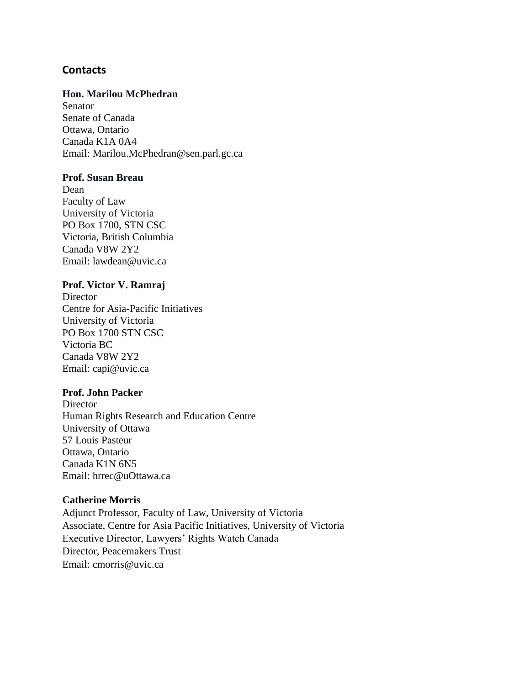## <span id="page-30-0"></span>**Contacts**

#### **Hon. Marilou McPhedran**

Senator Senate of Canada Ottawa, Ontario Canada K1A 0A4 Email: Marilou.McPhedran@sen.parl.gc.ca

#### **Prof. Susan Breau**

Dean Faculty of Law University of Victoria PO Box 1700, STN CSC Victoria, British Columbia Canada V8W 2Y2 Email: lawdean@uvic.ca

#### **Prof. Victor V. Ramraj**

**Director** Centre for Asia-Pacific Initiatives University of Victoria PO Box 1700 STN CSC Victoria BC Canada V8W 2Y2 Email: capi@uvic.ca

#### **Prof. John Packer**

**Director** Human Rights Research and Education Centre University of Ottawa 57 Louis Pasteur Ottawa, Ontario Canada K1N 6N5 Email: hrrec@uOttawa.ca

#### **Catherine Morris**

Adjunct Professor, Faculty of Law, University of Victoria Associate, Centre for Asia Pacific Initiatives, University of Victoria Executive Director, Lawyers' Rights Watch Canada Director, Peacemakers Trust Email: cmorris@uvic.ca